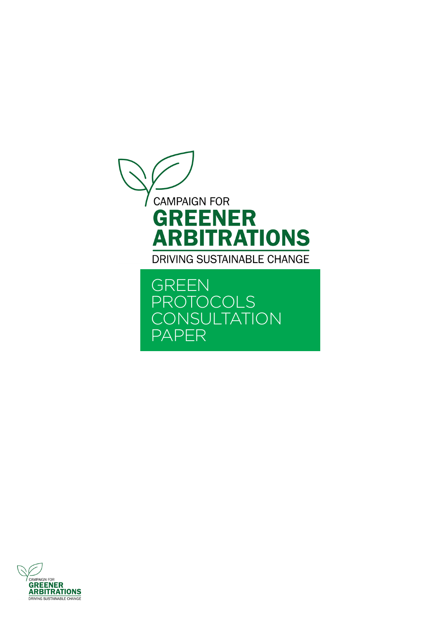

GREEN PROTOCOLS **CONSULTATION** PAPER

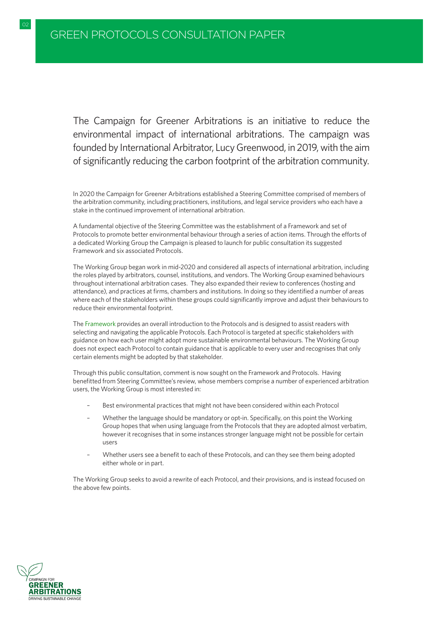The Campaign for Greener Arbitrations is an initiative to reduce the environmental impact of international arbitrations. The campaign was founded by International Arbitrator, Lucy Greenwood, in 2019, with the aim of significantly reducing the carbon footprint of the arbitration community.

In 2020 the Campaign for Greener Arbitrations established a Steering Committee comprised of members of the arbitration community, including practitioners, institutions, and legal service providers who each have a stake in the continued improvement of international arbitration.

A fundamental objective of the Steering Committee was the establishment of a Framework and set of Protocols to promote better environmental behaviour through a series of action items. Through the efforts of a dedicated Working Group the Campaign is pleased to launch for public consultation its suggested Framework and six associated Protocols.

The Working Group began work in mid-2020 and considered all aspects of international arbitration, including the roles played by arbitrators, counsel, institutions, and vendors. The Working Group examined behaviours throughout international arbitration cases. They also expanded their review to conferences (hosting and attendance), and practices at firms, chambers and institutions. In doing so they identified a number of areas where each of the stakeholders within these groups could significantly improve and adjust their behaviours to reduce their environmental footprint.

The [Framework](#page-3-0) provides an overall introduction to the Protocols and is designed to assist readers with selecting and navigating the applicable Protocols. Each Protocol is targeted at specific stakeholders with guidance on how each user might adopt more sustainable environmental behaviours. The Working Group does not expect each Protocol to contain guidance that is applicable to every user and recognises that only certain elements might be adopted by that stakeholder.

Through this public consultation, comment is now sought on the Framework and Protocols. Having benefitted from Steering Committee's review, whose members comprise a number of experienced arbitration users, the Working Group is most interested in:

- Best environmental practices that might not have been considered within each Protocol
- Whether the language should be mandatory or opt-in. Specifically, on this point the Working Group hopes that when using language from the Protocols that they are adopted almost verbatim, however it recognises that in some instances stronger language might not be possible for certain users
- Whether users see a benefit to each of these Protocols, and can they see them being adopted either whole or in part.

The Working Group seeks to avoid a rewrite of each Protocol, and their provisions, and is instead focused on the above few points.

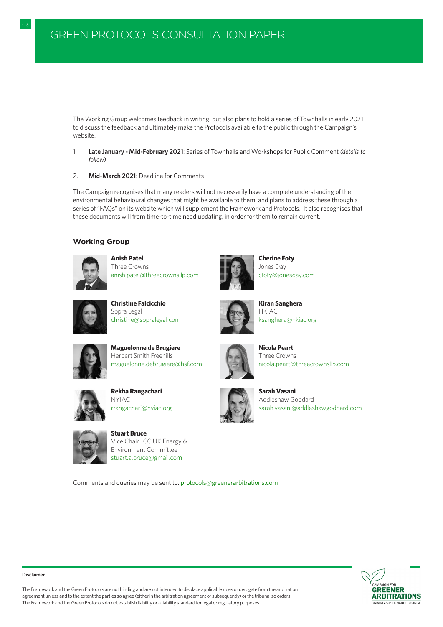The Working Group welcomes feedback in writing, but also plans to hold a series of Townhalls in early 2021 to discuss the feedback and ultimately make the Protocols available to the public through the Campaign's website.

- 1. **Late January Mid-February 2021**: Series of Townhalls and Workshops for Public Comment *(details to follow)*
- 2. **Mid-March 2021**: Deadline for Comments

The Campaign recognises that many readers will not necessarily have a complete understanding of the environmental behavioural changes that might be available to them, and plans to address these through a series of "FAQs" on its website which will supplement the Framework and Protocols. It also recognises that these documents will from time-to-time need updating, in order for them to remain current.

# **Working Group**



**Anish Patel** Three Crowns [anish.patel@threecrownsllp.com](mailto:anish.patel%40threecrownsllp.com?subject=Protocols%20for%20Greener%20Arbitration)



**Cherine Foty** Jones Day [cfoty@jonesday.com](mailto:cfoty%40jonesday.com?subject=Protocols%20for%20Greener%20Arbitration)



**Christine Falcicchio** Sopra Legal [christine@sopralegal.com](mailto:christine%40sopralegal.com?subject=Protocols%20for%20Greener%20Arbitration)



**Kiran Sanghera**  HKIAC [ksanghera@hkiac.org](mailto:ksanghera%40hkiac.org?subject=Protocols%20for%20Greener%20Arbitration)



**Maguelonne de Brugiere** Herbert Smith Freehills [maguelonne.debrugiere@hsf.com](mailto:maguelonne.debrugiere%40hsf.com%20?subject=Protocols%20for%20Greener%20Arbitration) 



**Nicola Peart** Three Crowns [nicola.peart@threecrownsllp.com](mailto:nicola.peart%40threecrownsllp.com?subject=Protocols%20for%20Greener%20Arbitration)



**Rekha Rangachari** NYIAC [rrangachari@nyiac.org](mailto:rrangachari%40nyiac.org?subject=Protocols%20for%20Greener%20Arbitration)



**Stuart Bruce**  Vice Chair, ICC UK Energy & Environment Committee [stuart.a.bruce@gmail.com](mailto:stuart.a.bruce%40gmail.com?subject=Protocols%20for%20Greener%20Arbitration)

**Sarah Vasani** Addleshaw Goddard [sarah.vasani@addleshawgoddard.com](mailto:sarah.vasani%40addleshawgoddard.com?subject=Protocols%20for%20Greener%20Arbitration)

Comments and queries may be sent to: [protocols@greenerarbitrations.com](mailto:protocols%40greenerarbitrations.com?subject=Protocols%20for%20Greener%20Arbitration)



#### **Disclaimer**

The Framework and the Green Protocols are not binding and are not intended to displace applicable rules or derogate from the arbitration agreement unless and to the extent the parties so agree (either in the arbitration agreement or subsequently) or the tribunal so orders. The Framework and the Green Protocols do not establish liability or a liability standard for legal or regulatory purposes.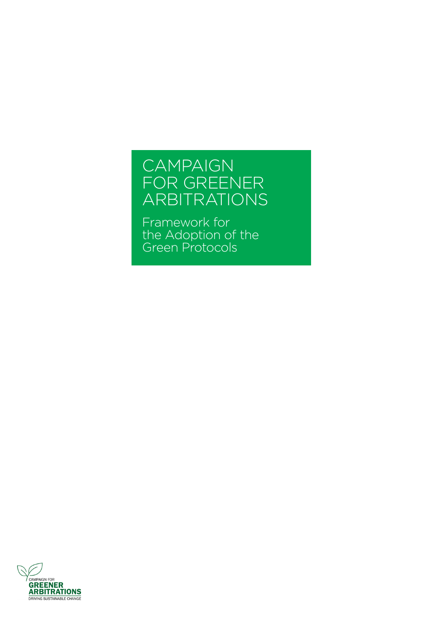# <span id="page-3-0"></span>CAMPAIGN FOR GREENER ARBITRATIONS

Framework for the Adoption of the Green Protocols

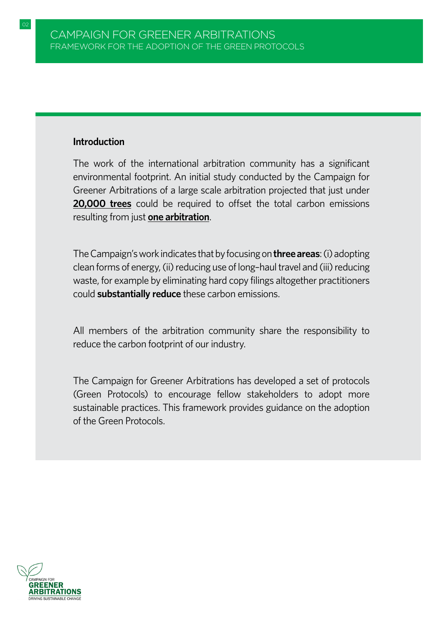# **Introduction**

The work of the international arbitration community has a significant environmental footprint. An initial study conducted by the Campaign for Greener Arbitrations of a large scale arbitration projected that just under **20,000 trees** could be required to offset the total carbon emissions resulting from just **one arbitration**.

The Campaign's work indicates that by focusing on **three areas**: (i) adopting clean forms of energy, (ii) reducing use of long–haul travel and (iii) reducing waste, for example by eliminating hard copy filings altogether practitioners could **substantially reduce** these carbon emissions.

All members of the arbitration community share the responsibility to reduce the carbon footprint of our industry.

The Campaign for Greener Arbitrations has developed a set of protocols (Green Protocols) to encourage fellow stakeholders to adopt more sustainable practices. This framework provides guidance on the adoption of the Green Protocols.

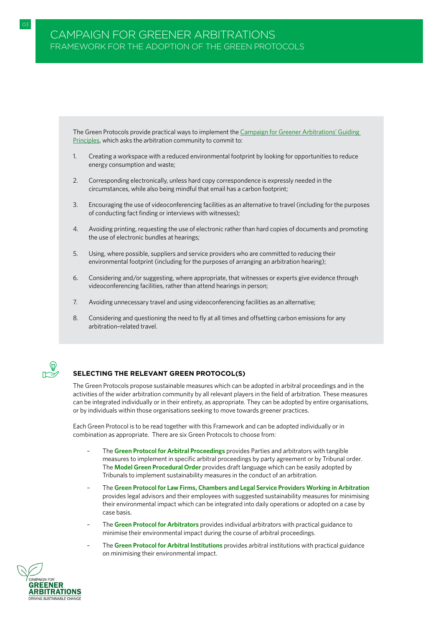The Green Protocols provide practical ways to implement the [Campaign for Greener Arbitrations' Guiding](https://www.greenerarbitrations.com/greenpledge)  [Principles,](https://www.greenerarbitrations.com/greenpledge) which asks the arbitration community to commit to:

- 1. Creating a workspace with a reduced environmental footprint by looking for opportunities to reduce energy consumption and waste;
- 2. Corresponding electronically, unless hard copy correspondence is expressly needed in the circumstances, while also being mindful that email has a carbon footprint;
- 3. Encouraging the use of videoconferencing facilities as an alternative to travel (including for the purposes of conducting fact finding or interviews with witnesses);
- 4. Avoiding printing, requesting the use of electronic rather than hard copies of documents and promoting the use of electronic bundles at hearings;
- 5. Using, where possible, suppliers and service providers who are committed to reducing their environmental footprint (including for the purposes of arranging an arbitration hearing);
- 6. Considering and/or suggesting, where appropriate, that witnesses or experts give evidence through videoconferencing facilities, rather than attend hearings in person;
- 7. Avoiding unnecessary travel and using videoconferencing facilities as an alternative;
- 8. Considering and questioning the need to fly at all times and offsetting carbon emissions for any arbitration–related travel.



# **SELECTING THE RELEVANT GREEN PROTOCOL(S)**

The Green Protocols propose sustainable measures which can be adopted in arbitral proceedings and in the activities of the wider arbitration community by all relevant players in the field of arbitration. These measures can be integrated individually or in their entirety, as appropriate. They can be adopted by entire organisations, or by individuals within those organisations seeking to move towards greener practices.

Each Green Protocol is to be read together with this Framework and can be adopted individually or in combination as appropriate. There are six Green Protocols to choose from:

- The **[Green Protocol for Arbitral Proceedings](#page-8-0)** provides Parties and arbitrators with tangible measures to implement in specific arbitral proceedings by party agreement or by Tribunal order. The **[Model Green Procedural Order](#page-15-0)** provides draft language which can be easily adopted by Tribunals to implement sustainability measures in the conduct of an arbitration.
- The **[Green Protocol for Law Firms, Chambers and Legal Service Providers Working in Arbitration](#page-21-0)** provides legal advisors and their employees with suggested sustainability measures for minimising their environmental impact which can be integrated into daily operations or adopted on a case by case basis.
- The **[Green Protocol for Arbitrators](#page-29-0)** provides individual arbitrators with practical guidance to minimise their environmental impact during the course of arbitral proceedings.
- The **[Green Protocol for Arbitral Institutions](#page-34-0)** provides arbitral institutions with practical guidance on minimising their environmental impact.

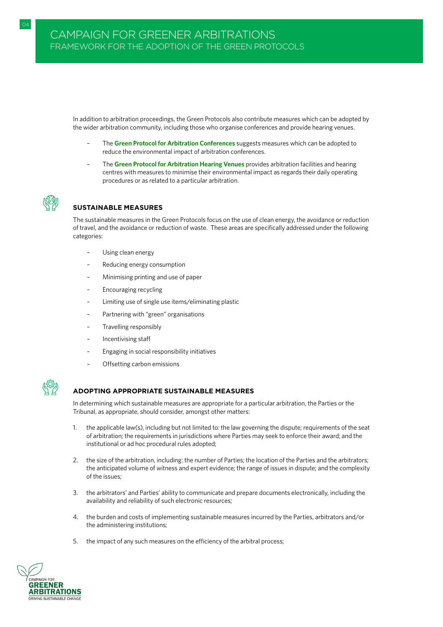In addition to arbitration proceedings, the Green Protocols also contribute measures which can be adopted by the wider arbitration community, including those who organise conferences and provide hearing venues.

- The **[Green Protocol for Arbitration Conferences](#page-41-0)** suggests measures which can be adopted to reduce the environmental impact of arbitration conferences.
- The **[Green Protocol for Arbitration Hearing Venues](#page-47-0)** provides arbitration facilities and hearing centres with measures to minimise their environmental impact as regards their daily operating procedures or as related to a particular arbitration.



# **SUSTAINABLE MEASURES**

The sustainable measures in the Green Protocols focus on the use of clean energy, the avoidance or reduction of travel, and the avoidance or reduction of waste. These areas are specifically addressed under the following categories:

- Using clean energy
- Reducing energy consumption
- Minimising printing and use of paper
- Encouraging recycling
- Limiting use of single use items/eliminating plastic
- Partnering with "green" organisations
- Travelling responsibly
- Incentivising staff
- Engaging in social responsibility initiatives
- Offsetting carbon emissions



#### **ADOPTING APPROPRIATE SUSTAINABLE MEASURES**

In determining which sustainable measures are appropriate for a particular arbitration, the Parties or the Tribunal, as appropriate, should consider, amongst other matters:

- 1. the applicable law(s), including but not limited to: the law governing the dispute; requirements of the seat of arbitration; the requirements in jurisdictions where Parties may seek to enforce their award; and the institutional or ad hoc procedural rules adopted;
- 2. the size of the arbitration, including: the number of Parties; the location of the Parties and the arbitrators; the anticipated volume of witness and expert evidence; the range of issues in dispute; and the complexity of the issues;
- 3. the arbitrators' and Parties' ability to communicate and prepare documents electronically, including the availability and reliability of such electronic resources;
- 4. the burden and costs of implementing sustainable measures incurred by the Parties, arbitrators and/or the administering institutions;
- 5. the impact of any such measures on the efficiency of the arbitral process;

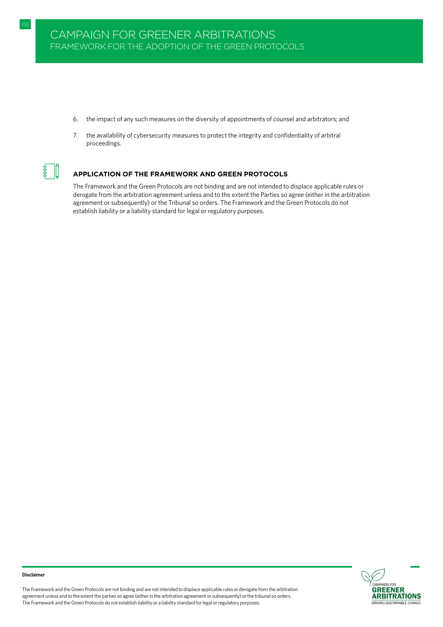6. the impact of any such measures on the diversity of appointments of counsel and arbitrators; and

05 GREEN PROTOCOL FOR ARBITRATORS IN A GREEN PROTOCOL FOR ARBITRATORS IN A GREEN PROTOCOL FOR ARBITRATORS IN A

7. the availability of cybersecurity measures to protect the integrity and confidentiality of arbitral proceedings.



#### **APPLICATION OF THE FRAMEWORK AND GREEN PROTOCOLS**

The Framework and the Green Protocols are not binding and are not intended to displace applicable rules or derogate from the arbitration agreement unless and to the extent the Parties so agree (either in the arbitration agreement or subsequently) or the Tribunal so orders. The Framework and the Green Protocols do not establish liability or a liability standard for legal or regulatory purposes.



The Framework and the Green Protocols are not binding and are not intended to displace applicable rules or derogate from the arbitration agreement unless and to the extent the parties so agree (either in the arbitration agreement or subsequently) or the tribunal so orders. The Framework and the Green Protocols do not establish liability or a liability standard for legal or regulatory purposes.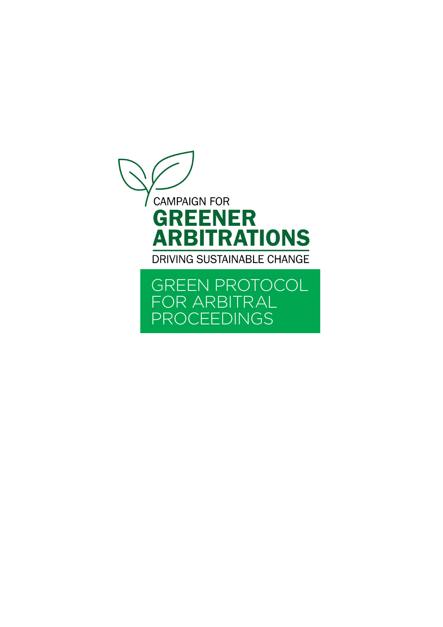<span id="page-8-0"></span>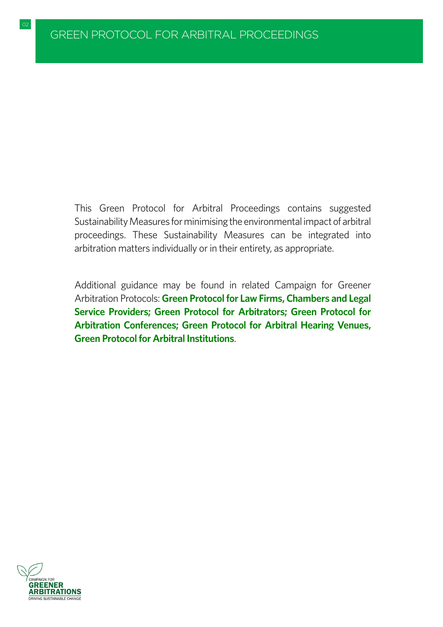This Green Protocol for Arbitral Proceedings contains suggested Sustainability Measures for minimising the environmental impact of arbitral proceedings. These Sustainability Measures can be integrated into arbitration matters individually or in their entirety, as appropriate.

Additional guidance may be found in related Campaign for Greener Arbitration Protocols: **[Green Protocol for Law Firms, Chambers and Legal](#page-21-0) [Service Providers;](#page-21-0) [Green Protocol for Arbitrators;](#page-29-0) [Green Protocol for](#page-41-0) [Arbitration Conferences;](#page-41-0) [Green Protocol for Arbitral Hearing Venues,](#page-47-0) [Green Protocol for Arbitral Institutions](#page-34-0)**.

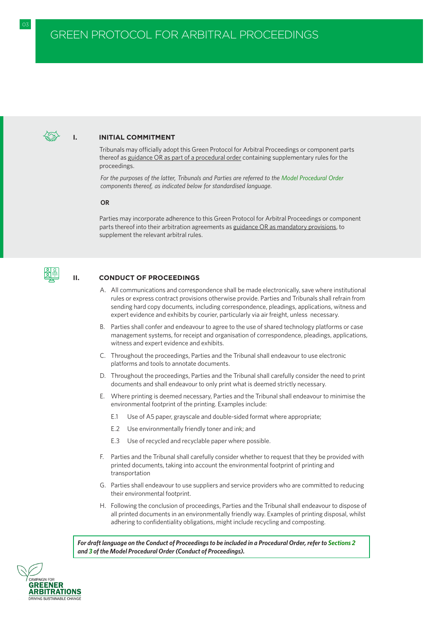#### **I. INITIAL COMMITMENT**

Tribunals may officially adopt this Green Protocol for Arbitral Proceedings or component parts thereof as guidance OR as part of a procedural order containing supplementary rules for the proceedings.

*For the purposes of the latter, Tribunals and Parties are referred to the [Model Procedural Order](#page-15-0) components thereof, as indicated below for standardised language.*

**OR**

Parties may incorporate adherence to this Green Protocol for Arbitral Proceedings or component parts thereof into their arbitration agreements as guidance OR as mandatory provisions, to supplement the relevant arbitral rules.



#### **II. CONDUCT OF PROCEEDINGS**

- A. All communications and correspondence shall be made electronically, save where institutional rules or express contract provisions otherwise provide. Parties and Tribunals shall refrain from sending hard copy documents, including correspondence, pleadings, applications, witness and expert evidence and exhibits by courier, particularly via air freight, unless necessary.
- B. Parties shall confer and endeavour to agree to the use of shared technology platforms or case management systems, for receipt and organisation of correspondence, pleadings, applications, witness and expert evidence and exhibits.
- C. Throughout the proceedings, Parties and the Tribunal shall endeavour to use electronic platforms and tools to annotate documents.
- D. Throughout the proceedings, Parties and the Tribunal shall carefully consider the need to print documents and shall endeavour to only print what is deemed strictly necessary.
- E. Where printing is deemed necessary, Parties and the Tribunal shall endeavour to minimise the environmental footprint of the printing. Examples include:
	- E.1 Use of A5 paper, grayscale and double-sided format where appropriate;
	- E.2 Use environmentally friendly toner and ink; and
	- E.3 Use of recycled and recyclable paper where possible.
- F. Parties and the Tribunal shall carefully consider whether to request that they be provided with printed documents, taking into account the environmental footprint of printing and transportation
- G. Parties shall endeavour to use suppliers and service providers who are committed to reducing their environmental footprint.
- H. Following the conclusion of proceedings, Parties and the Tribunal shall endeavour to dispose of all printed documents in an environmentally friendly way. Examples of printing disposal, whilst adhering to confidentiality obligations, might include recycling and composting.

*For draft language on the Conduct of Proceedings to be included in a Procedural Order, refer to [Sections 2](#page-17-0) and [3 o](#page-17-0)f the Model Procedural Order (Conduct of Proceedings).*

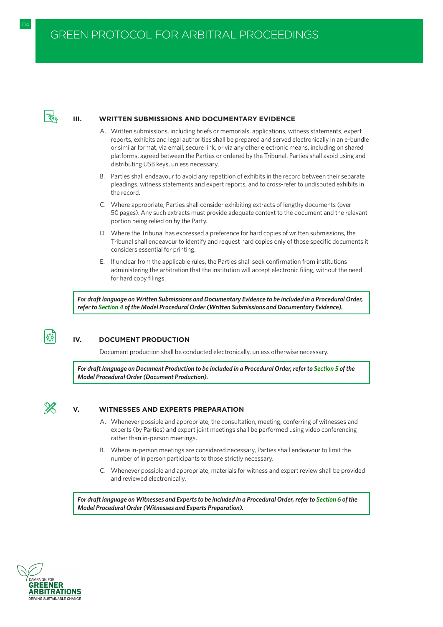

#### **III. WRITTEN SUBMISSIONS AND DOCUMENTARY EVIDENCE**

- A. Written submissions, including briefs or memorials, applications, witness statements, expert reports, exhibits and legal authorities shall be prepared and served electronically in an e-bundle or similar format, via email, secure link, or via any other electronic means, including on shared platforms, agreed between the Parties or ordered by the Tribunal. Parties shall avoid using and distributing USB keys, unless necessary.
- B. Parties shall endeavour to avoid any repetition of exhibits in the record between their separate pleadings, witness statements and expert reports, and to cross-refer to undisputed exhibits in the record.
- C. Where appropriate, Parties shall consider exhibiting extracts of lengthy documents (over 50 pages). Any such extracts must provide adequate context to the document and the relevant portion being relied on by the Party.
- D. Where the Tribunal has expressed a preference for hard copies of written submissions, the Tribunal shall endeavour to identify and request hard copies only of those specific documents it considers essential for printing.
- E. If unclear from the applicable rules, the Parties shall seek confirmation from institutions administering the arbitration that the institution will accept electronic filing, without the need for hard copy filings.

*For draft language on Written Submissions and Documentary Evidence to be included in a Procedural Order, refer to [Section 4](#page-18-0) of the Model Procedural Order (Written Submissions and Documentary Evidence).*



# **IV. DOCUMENT PRODUCTION**

Document production shall be conducted electronically, unless otherwise necessary.

*For draft language on Document Production to be included in a Procedural Order, refer to [Section 5](#page-18-0) of the Model Procedural Order (Document Production).*



#### **V. WITNESSES AND EXPERTS PREPARATION**

- A. Whenever possible and appropriate, the consultation, meeting, conferring of witnesses and experts (by Parties) and expert joint meetings shall be performed using video conferencing rather than in-person meetings.
- B. Where in-person meetings are considered necessary, Parties shall endeavour to limit the number of in person participants to those strictly necessary.
- C. Whenever possible and appropriate, materials for witness and expert review shall be provided and reviewed electronically.

*For draft language on Witnesses and Experts to be included in a Procedural Order, refer to [Section 6](#page-18-0) of the Model Procedural Order (Witnesses and Experts Preparation).*

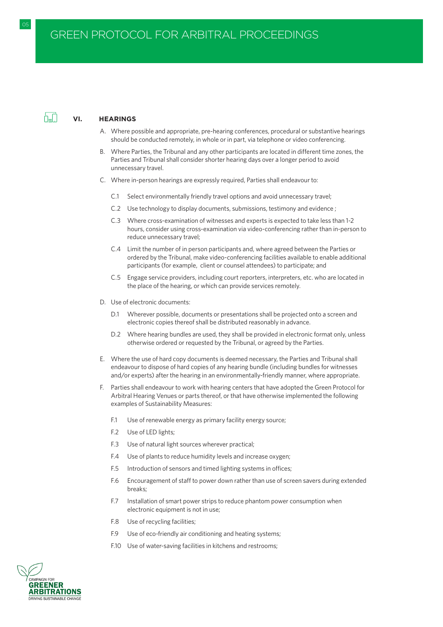

#### **VI. HEARINGS**

- A. Where possible and appropriate, pre-hearing conferences, procedural or substantive hearings should be conducted remotely, in whole or in part, via telephone or video conferencing.
- B. Where Parties, the Tribunal and any other participants are located in different time zones, the Parties and Tribunal shall consider shorter hearing days over a longer period to avoid unnecessary travel.
- C. Where in-person hearings are expressly required, Parties shall endeavour to:
	- C.1 Select environmentally friendly travel options and avoid unnecessary travel;
	- C.2 Use technology to display documents, submissions, testimony and evidence ;
	- C.3 Where cross-examination of witnesses and experts is expected to take less than 1-2 hours, consider using cross-examination via video-conferencing rather than in-person to reduce unnecessary travel;
	- C.4 Limit the number of in person participants and, where agreed between the Parties or ordered by the Tribunal, make video-conferencing facilities available to enable additional participants (for example, client or counsel attendees) to participate; and
	- C.5 Engage service providers, including court reporters, interpreters, etc. who are located in the place of the hearing, or which can provide services remotely.
- D. Use of electronic documents:
	- D.1 Wherever possible, documents or presentations shall be projected onto a screen and electronic copies thereof shall be distributed reasonably in advance.
	- D.2 Where hearing bundles are used, they shall be provided in electronic format only, unless otherwise ordered or requested by the Tribunal, or agreed by the Parties.
- E. Where the use of hard copy documents is deemed necessary, the Parties and Tribunal shall endeavour to dispose of hard copies of any hearing bundle (including bundles for witnesses and/or experts) after the hearing in an environmentally-friendly manner, where appropriate.
- F. Parties shall endeavour to work with hearing centers that have adopted the Green Protocol for Arbitral Hearing Venues or parts thereof, or that have otherwise implemented the following examples of Sustainability Measures:
	- F.1 Use of renewable energy as primary facility energy source;
	- F.2 Use of LED lights;
	- F.3 Use of natural light sources wherever practical;
	- F.4 Use of plants to reduce humidity levels and increase oxygen;
	- F.5 Introduction of sensors and timed lighting systems in offices;
	- F.6 Encouragement of staff to power down rather than use of screen savers during extended breaks;
	- F.7 Installation of smart power strips to reduce phantom power consumption when electronic equipment is not in use;
	- F.8 Use of recycling facilities;
	- F.9 Use of eco-friendly air conditioning and heating systems;
	- F.10 Use of water-saving facilities in kitchens and restrooms;

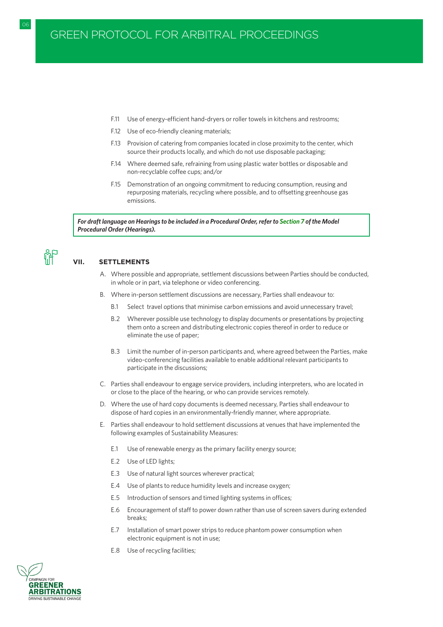- F.11 Use of energy-efficient hand-dryers or roller towels in kitchens and restrooms;
- F.12 Use of eco-friendly cleaning materials;
- F.13 Provision of catering from companies located in close proximity to the center, which source their products locally, and which do not use disposable packaging;
- F.14 Where deemed safe, refraining from using plastic water bottles or disposable and non-recyclable coffee cups; and/or
- F.15 Demonstration of an ongoing commitment to reducing consumption, reusing and repurposing materials, recycling where possible, and to offsetting greenhouse gas emissions.

*For draft language on Hearings to be included in a Procedural Order, refer to [Section 7](#page-18-0) of the Model Procedural Order (Hearings).*



# **VII. SETTLEMENTS**

- A. Where possible and appropriate, settlement discussions between Parties should be conducted, in whole or in part, via telephone or video conferencing.
- B. Where in-person settlement discussions are necessary, Parties shall endeavour to:
	- B.1 Select travel options that minimise carbon emissions and avoid unnecessary travel;
	- B.2 Wherever possible use technology to display documents or presentations by projecting them onto a screen and distributing electronic copies thereof in order to reduce or eliminate the use of paper;
	- B.3 Limit the number of in-person participants and, where agreed between the Parties, make video-conferencing facilities available to enable additional relevant participants to participate in the discussions;
- C. Parties shall endeavour to engage service providers, including interpreters, who are located in or close to the place of the hearing, or who can provide services remotely.
- D. Where the use of hard copy documents is deemed necessary, Parties shall endeavour to dispose of hard copies in an environmentally-friendly manner, where appropriate.
- E. Parties shall endeavour to hold settlement discussions at venues that have implemented the following examples of Sustainability Measures:
	- E.1 Use of renewable energy as the primary facility energy source;
	- E.2 Use of LED lights;
	- E.3 Use of natural light sources wherever practical;
	- E.4 Use of plants to reduce humidity levels and increase oxygen;
	- E.5 Introduction of sensors and timed lighting systems in offices;
	- E.6 Encouragement of staff to power down rather than use of screen savers during extended breaks;
	- E.7 Installation of smart power strips to reduce phantom power consumption when electronic equipment is not in use;
	- E.8 Use of recycling facilities;

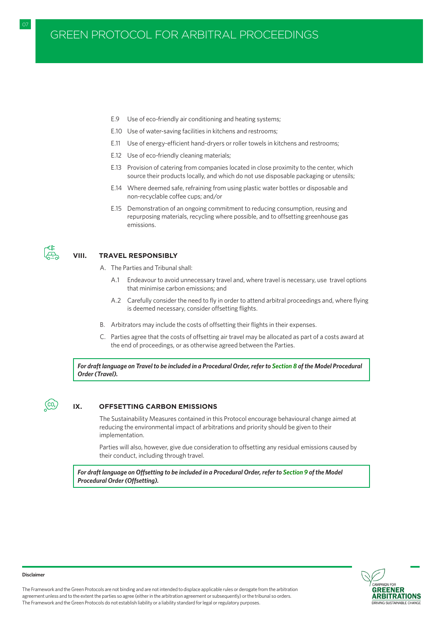# GREEN PROTOCOL FOR ARBITRAL PROCEEDINGS

- E.9 Use of eco-friendly air conditioning and heating systems;
- E.10 Use of water-saving facilities in kitchens and restrooms;
- E.11 Use of energy-efficient hand-dryers or roller towels in kitchens and restrooms;
- E.12 Use of eco-friendly cleaning materials;
- E.13 Provision of catering from companies located in close proximity to the center, which source their products locally, and which do not use disposable packaging or utensils;
- E.14 Where deemed safe, refraining from using plastic water bottles or disposable and non-recyclable coffee cups; and/or
- E.15 Demonstration of an ongoing commitment to reducing consumption, reusing and repurposing materials, recycling where possible, and to offsetting greenhouse gas emissions.



#### **VIII. TRAVEL RESPONSIBLY**

- A. The Parties and Tribunal shall:
	- A.1 Endeavour to avoid unnecessary travel and, where travel is necessary, use travel options that minimise carbon emissions; and
	- A.2 Carefully consider the need to fly in order to attend arbitral proceedings and, where flying is deemed necessary, consider offsetting flights.
- B. Arbitrators may include the costs of offsetting their flights in their expenses.
- C. Parties agree that the costs of offsetting air travel may be allocated as part of a costs award at the end of proceedings, or as otherwise agreed between the Parties.

*For draft language on Travel to be included in a Procedural Order, refer to [Section 8](#page-20-0) of the Model Procedural Order (Travel).*

# $\overline{(\text{co}_2)}$

#### **IX. OFFSETTING CARBON EMISSIONS**

The Sustainability Measures contained in this Protocol encourage behavioural change aimed at reducing the environmental impact of arbitrations and priority should be given to their implementation.

Parties will also, however, give due consideration to offsetting any residual emissions caused by their conduct, including through travel.

*For draft language on Offsetting to be included in a Procedural Order, refer to [Section 9](#page-20-0) of the Model Procedural Order (Offsetting).*



#### **Disclaimer**

The Framework and the Green Protocols are not binding and are not intended to displace applicable rules or derogate from the arbitration agreement unless and to the extent the parties so agree (either in the arbitration agreement or subsequently) or the tribunal so orders. The Framework and the Green Protocols do not establish liability or a liability standard for legal or regulatory purposes.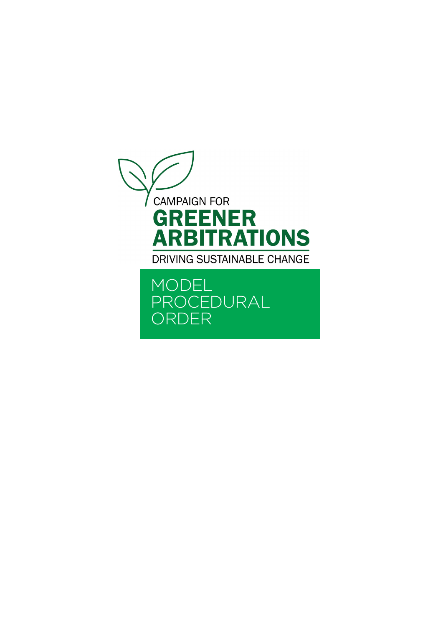<span id="page-15-0"></span>

MODEL PROCEDURAL ORDER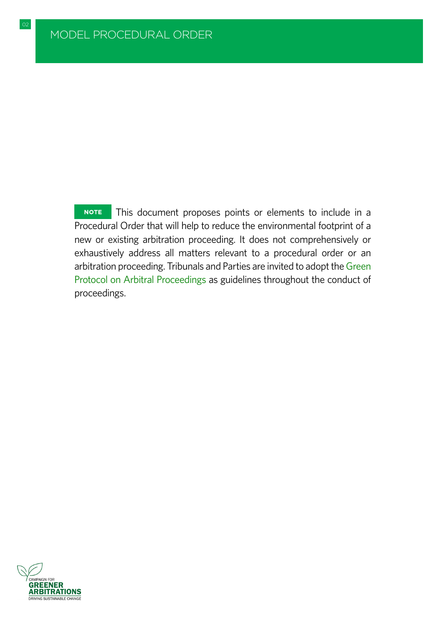**NOTE** This document proposes points or elements to include in a Procedural Order that will help to reduce the environmental footprint of a new or existing arbitration proceeding. It does not comprehensively or exhaustively address all matters relevant to a procedural order or an arbitration proceeding. Tribunals and Parties are invited to adopt the [Green](#page-8-0) [Protocol on Arbitral Proceedings](#page-8-0) as guidelines throughout the conduct of proceedings.

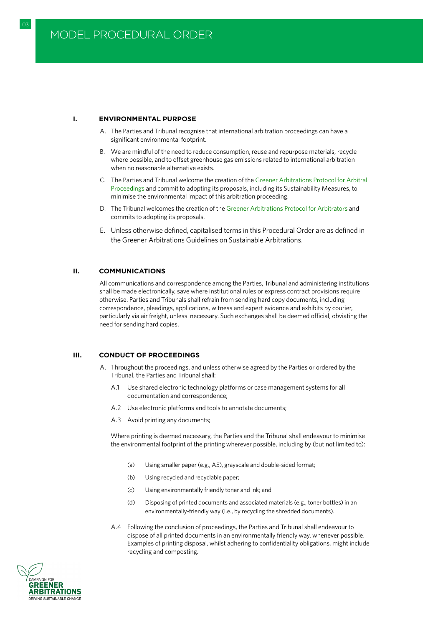#### <span id="page-17-0"></span>**I. ENVIRONMENTAL PURPOSE**

- A. The Parties and Tribunal recognise that international arbitration proceedings can have a significant environmental footprint.
- B. We are mindful of the need to reduce consumption, reuse and repurpose materials, recycle where possible, and to offset greenhouse gas emissions related to international arbitration when no reasonable alternative exists.
- C. The Parties and Tribunal welcome the creation of the [Greener Arbitrations Protocol for Arbitral](#page-8-0) [Proceedings](#page-8-0) and commit to adopting its proposals, including its Sustainability Measures, to minimise the environmental impact of this arbitration proceeding.
- D. The Tribunal welcomes the creation of the [Greener Arbitrations Protocol for Arbitrators](#page-29-0) and commits to adopting its proposals.
- E. Unless otherwise defined, capitalised terms in this Procedural Order are as defined in the Greener Arbitrations Guidelines on Sustainable Arbitrations.

#### **II. COMMUNICATIONS**

All communications and correspondence among the Parties, Tribunal and administering institutions shall be made electronically, save where institutional rules or express contract provisions require otherwise. Parties and Tribunals shall refrain from sending hard copy documents, including correspondence, pleadings, applications, witness and expert evidence and exhibits by courier, particularly via air freight, unless necessary. Such exchanges shall be deemed official, obviating the need for sending hard copies.

#### **III. CONDUCT OF PROCEEDINGS**

- A. Throughout the proceedings, and unless otherwise agreed by the Parties or ordered by the Tribunal, the Parties and Tribunal shall:
	- A.1 Use shared electronic technology platforms or case management systems for all documentation and correspondence;
	- A.2 Use electronic platforms and tools to annotate documents;
	- A.3 Avoid printing any documents;

Where printing is deemed necessary, the Parties and the Tribunal shall endeavour to minimise the environmental footprint of the printing wherever possible, including by (but not limited to):

- (a) Using smaller paper (e.g., A5), grayscale and double-sided format;
- (b) Using recycled and recyclable paper;
- (c) Using environmentally friendly toner and ink; and
- (d) Disposing of printed documents and associated materials (e.g., toner bottles) in an environmentally-friendly way (i.e., by recycling the shredded documents).
- A.4 Following the conclusion of proceedings, the Parties and Tribunal shall endeavour to dispose of all printed documents in an environmentally friendly way, whenever possible. Examples of printing disposal, whilst adhering to confidentiality obligations, might include recycling and composting.

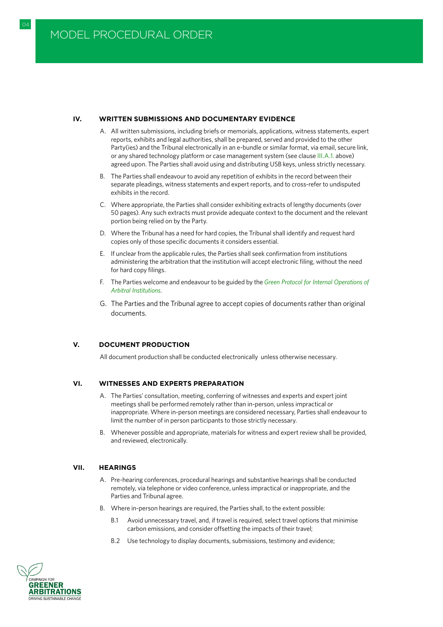#### <span id="page-18-0"></span>**IV. WRITTEN SUBMISSIONS AND DOCUMENTARY EVIDENCE**

- A. All written submissions, including briefs or memorials, applications, witness statements, expert reports, exhibits and legal authorities, shall be prepared, served and provided to the other Party(ies) and the Tribunal electronically in an e-bundle or similar format, via email, secure link, or any shared technology platform or case management system (see clause [III.A.1.](#page-17-0) above) agreed upon. The Parties shall avoid using and distributing USB keys, unless strictly necessary.
- B. The Parties shall endeavour to avoid any repetition of exhibits in the record between their separate pleadings, witness statements and expert reports, and to cross-refer to undisputed exhibits in the record.
- C. Where appropriate, the Parties shall consider exhibiting extracts of lengthy documents (over 50 pages). Any such extracts must provide adequate context to the document and the relevant portion being relied on by the Party.
- D. Where the Tribunal has a need for hard copies, the Tribunal shall identify and request hard copies only of those specific documents it considers essential.
- E. If unclear from the applicable rules, the Parties shall seek confirmation from institutions administering the arbitration that the institution will accept electronic filing, without the need for hard copy filings.
- F. The Parties welcome and endeavour to be guided by the *[Green Protocol for Internal Operations of](#page-34-0) [Arbitral Institutions](#page-34-0)*.
- G. The Parties and the Tribunal agree to accept copies of documents rather than original documents.

#### **V. DOCUMENT PRODUCTION**

All document production shall be conducted electronically unless otherwise necessary.

#### **VI. WITNESSES AND EXPERTS PREPARATION**

- A. The Parties' consultation, meeting, conferring of witnesses and experts and expert joint meetings shall be performed remotely rather than in-person, unless impractical or inappropriate. Where in-person meetings are considered necessary, Parties shall endeavour to limit the number of in person participants to those strictly necessary.
- B. Whenever possible and appropriate, materials for witness and expert review shall be provided, and reviewed, electronically.

#### **VII. HEARINGS**

- A. Pre-hearing conferences, procedural hearings and substantive hearings shall be conducted remotely, via telephone or video conference, unless impractical or inappropriate, and the Parties and Tribunal agree.
- B. Where in-person hearings are required, the Parties shall, to the extent possible:
	- B.1 Avoid unnecessary travel, and, if travel is required, select travel options that minimise carbon emissions, and consider offsetting the impacts of their travel;
	- B.2 Use technology to display documents, submissions, testimony and evidence;

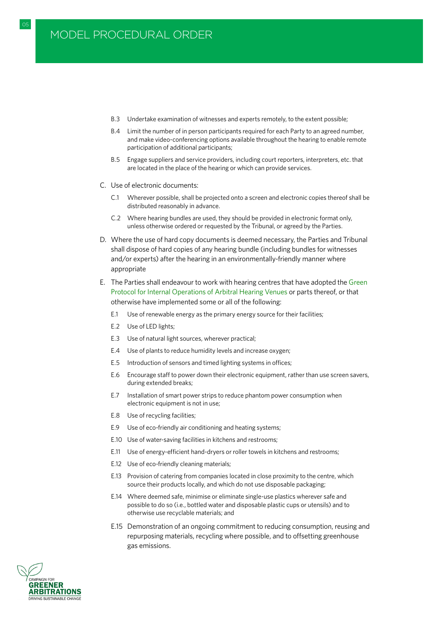B.3 Undertake examination of witnesses and experts remotely, to the extent possible;

05 GREEN PROTOCOL FOR ARBITRATORS IN A GREEN PROTOCOL FOR ARBITRATORS IN A GREEN PROTOCOL FOR ARBITRATORS IN A

- B.4 Limit the number of in person participants required for each Party to an agreed number, and make video-conferencing options available throughout the hearing to enable remote participation of additional participants;
- B.5 Engage suppliers and service providers, including court reporters, interpreters, etc. that are located in the place of the hearing or which can provide services.
- C. Use of electronic documents:
	- C.1 Wherever possible, shall be projected onto a screen and electronic copies thereof shall be distributed reasonably in advance.
	- C.2 Where hearing bundles are used, they should be provided in electronic format only, unless otherwise ordered or requested by the Tribunal, or agreed by the Parties.
- D. Where the use of hard copy documents is deemed necessary, the Parties and Tribunal shall dispose of hard copies of any hearing bundle (including bundles for witnesses and/or experts) after the hearing in an environmentally-friendly manner where appropriate
- E. The Parties shall endeavour to work with hearing centres that have adopted the [Green](#page-47-0) [Protocol for Internal Operations of Arbitral Hearing Venues](#page-47-0) or parts thereof, or that otherwise have implemented some or all of the following:
	- E.1 Use of renewable energy as the primary energy source for their facilities;
	- E.2 Use of LED lights;
	- E.3 Use of natural light sources, wherever practical;
	- E.4 Use of plants to reduce humidity levels and increase oxygen;
	- E.5 Introduction of sensors and timed lighting systems in offices;
	- E.6 Encourage staff to power down their electronic equipment, rather than use screen savers, during extended breaks;
	- E.7 Installation of smart power strips to reduce phantom power consumption when electronic equipment is not in use;
	- E.8 Use of recycling facilities;
	- E.9 Use of eco-friendly air conditioning and heating systems;
	- E.10 Use of water-saving facilities in kitchens and restrooms;
	- E.11 Use of energy-efficient hand-dryers or roller towels in kitchens and restrooms;
	- E.12 Use of eco-friendly cleaning materials;
	- E.13 Provision of catering from companies located in close proximity to the centre, which source their products locally, and which do not use disposable packaging;
	- E.14 Where deemed safe, minimise or eliminate single-use plastics wherever safe and possible to do so (i.e., bottled water and disposable plastic cups or utensils) and to otherwise use recyclable materials; and
	- E.15 Demonstration of an ongoing commitment to reducing consumption, reusing and repurposing materials, recycling where possible, and to offsetting greenhouse gas emissions.

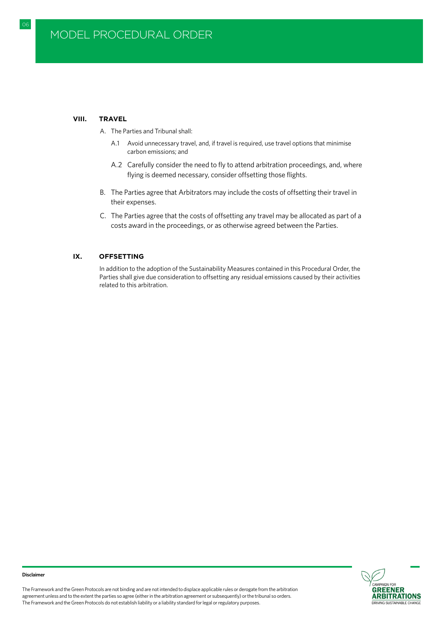#### **VIII. TRAVEL**

<span id="page-20-0"></span> $\Omega$ F

- A. The Parties and Tribunal shall:
	- A.1 Avoid unnecessary travel, and, if travel is required, use travel options that minimise carbon emissions; and
	- A.2 Carefully consider the need to fly to attend arbitration proceedings, and, where flying is deemed necessary, consider offsetting those flights.
- B. The Parties agree that Arbitrators may include the costs of offsetting their travel in their expenses.
- C. The Parties agree that the costs of offsetting any travel may be allocated as part of a costs award in the proceedings, or as otherwise agreed between the Parties.

#### **IX. OFFSETTING**

In addition to the adoption of the Sustainability Measures contained in this Procedural Order, the Parties shall give due consideration to offsetting any residual emissions caused by their activities related to this arbitration.





#### **Disclaimer**

The Framework and the Green Protocols are not binding and are not intended to displace applicable rules or derogate from the arbitration agreement unless and to the extent the parties so agree (either in the arbitration agreement or subsequently) or the tribunal so orders. The Framework and the Green Protocols do not establish liability or a liability standard for legal or regulatory purposes.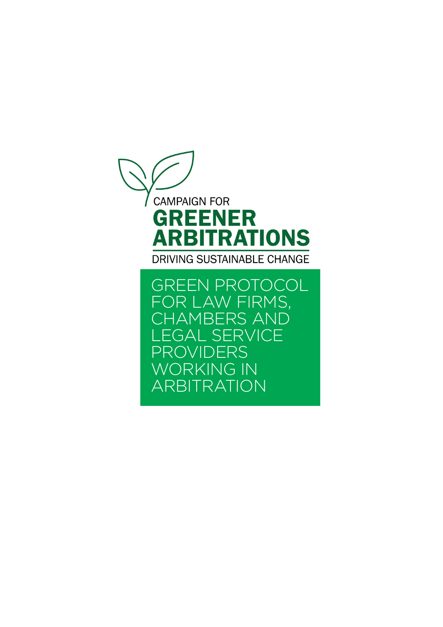<span id="page-21-0"></span>

GREEN PROTOCOL FOR LAW FIRMS, CHAMBERS AND LEGAL SERVICE PROVIDERS WORKING IN ARBITRATION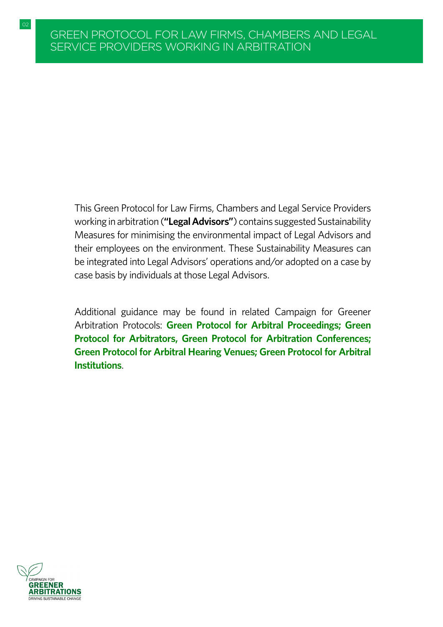This Green Protocol for Law Firms, Chambers and Legal Service Providers working in arbitration (**"Legal Advisors"**) contains suggested Sustainability Measures for minimising the environmental impact of Legal Advisors and their employees on the environment. These Sustainability Measures can be integrated into Legal Advisors' operations and/or adopted on a case by case basis by individuals at those Legal Advisors.

Additional guidance may be found in related Campaign for Greener Arbitration Protocols: **[Green Protocol for Arbitral Proceedings;](#page-8-0) [Green](#page-29-0) [Protocol for Arbitrators,](#page-29-0) [Green Protocol for Arbitration Conferences;](#page-41-0) [Green Protocol for Arbitral Hearing Venues;](#page-47-0) [Green Protocol for Arbitral](#page-34-0) [Institutions](#page-34-0)**.

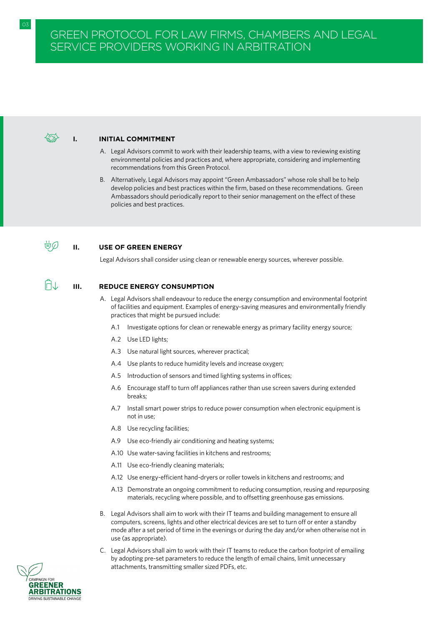#### **I. INITIAL COMMITMENT**

- A. Legal Advisors commit to work with their leadership teams, with a view to reviewing existing environmental policies and practices and, where appropriate, considering and implementing recommendations from this Green Protocol.
- B. Alternatively, Legal Advisors may appoint "Green Ambassadors" whose role shall be to help develop policies and best practices within the firm, based on these recommendations. Green Ambassadors should periodically report to their senior management on the effect of these policies and best practices.

#### ÜØ **II. USE OF GREEN ENERGY**

Legal Advisors shall consider using clean or renewable energy sources, wherever possible.

### **III. REDUCE ENERGY CONSUMPTION**

- A. Legal Advisors shall endeavour to reduce the energy consumption and environmental footprint of facilities and equipment. Examples of energy-saving measures and environmentally friendly practices that might be pursued include:
	- A.1 Investigate options for clean or renewable energy as primary facility energy source;
	- A.2 Use LED lights;
	- A.3 Use natural light sources, wherever practical;
	- A.4 Use plants to reduce humidity levels and increase oxygen;
	- A.5 Introduction of sensors and timed lighting systems in offices;
	- A.6 Encourage staff to turn off appliances rather than use screen savers during extended breaks;
	- A.7 Install smart power strips to reduce power consumption when electronic equipment is not in use;
	- A.8 Use recycling facilities;
	- A.9 Use eco-friendly air conditioning and heating systems;
	- A.10 Use water-saving facilities in kitchens and restrooms;
	- A.11 Use eco-friendly cleaning materials;
	- A.12 Use energy-efficient hand-dryers or roller towels in kitchens and restrooms; and
	- A.13 Demonstrate an ongoing commitment to reducing consumption, reusing and repurposing materials, recycling where possible, and to offsetting greenhouse gas emissions.
- B. Legal Advisors shall aim to work with their IT teams and building management to ensure all computers, screens, lights and other electrical devices are set to turn off or enter a standby mode after a set period of time in the evenings or during the day and/or when otherwise not in use (as appropriate).
- C. Legal Advisors shall aim to work with their IT teams to reduce the carbon footprint of emailing by adopting pre-set parameters to reduce the length of email chains, limit unnecessary attachments, transmitting smaller sized PDFs, etc.

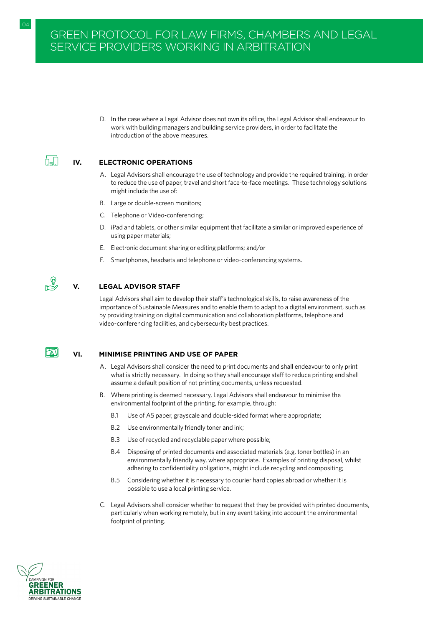04 GREEN PROTOCOL FOR ARBITRATORS IN A GREEN PROTOCOL FOR ARBITRATORS IN A GREEN PROTOCOL FOR ARBITRATORS IN A

D. In the case where a Legal Advisor does not own its office, the Legal Advisor shall endeavour to work with building managers and building service providers, in order to facilitate the introduction of the above measures.

#### ⋔⊥∏ **IV. ELECTRONIC OPERATIONS**

- A. Legal Advisors shall encourage the use of technology and provide the required training, in order to reduce the use of paper, travel and short face-to-face meetings. These technology solutions might include the use of:
- B. Large or double-screen monitors;
- C. Telephone or Video-conferencing;
- D. iPad and tablets, or other similar equipment that facilitate a similar or improved experience of using paper materials;
- E. Electronic document sharing or editing platforms; and/or
- F. Smartphones, headsets and telephone or video-conferencing systems.

 $\mathbb{P}^{\mathbb{Q}}$ 

### **V. LEGAL ADVISOR STAFF**

Legal Advisors shall aim to develop their staff's technological skills, to raise awareness of the importance of Sustainable Measures and to enable them to adapt to a digital environment, such as by providing training on digital communication and collaboration platforms, telephone and video-conferencing facilities, and cybersecurity best practices.

# $|\mathbb{Z}|$

#### **VI. MINIMISE PRINTING AND USE OF PAPER**

- A. Legal Advisors shall consider the need to print documents and shall endeavour to only print what is strictly necessary. In doing so they shall encourage staff to reduce printing and shall assume a default position of not printing documents, unless requested.
- B. Where printing is deemed necessary, Legal Advisors shall endeavour to minimise the environmental footprint of the printing, for example, through:
	- B.1 Use of A5 paper, grayscale and double-sided format where appropriate;
	- B.2 Use environmentally friendly toner and ink;
	- B.3 Use of recycled and recyclable paper where possible;
	- B.4 Disposing of printed documents and associated materials (e.g. toner bottles) in an environmentally friendly way, where appropriate. Examples of printing disposal, whilst adhering to confidentiality obligations, might include recycling and compositing;
	- B.5 Considering whether it is necessary to courier hard copies abroad or whether it is possible to use a local printing service.
- C. Legal Advisors shall consider whether to request that they be provided with printed documents, particularly when working remotely, but in any event taking into account the environmental footprint of printing.

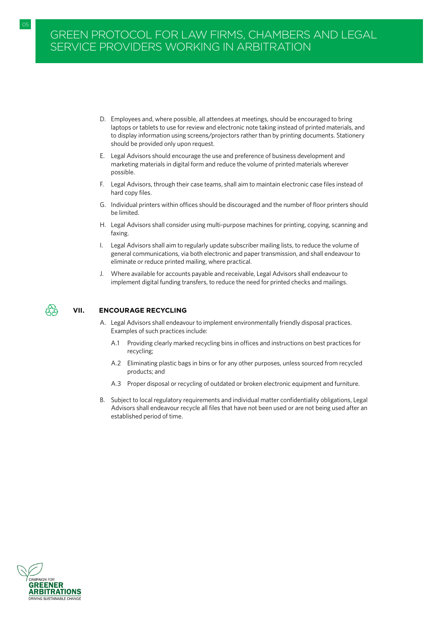# GREEN PROTOCOL FOR LAW FIRMS, CHAMBERS AND LEGAL SERVICE PROVIDERS WORKING IN ARBITRATION

05 GREEN PROTOCOL FOR ARBITRATORS IN A GREEN PROTOCOL FOR ARBITRATORS IN A GREEN PROTOCOL FOR ARBITRATORS IN A

- D. Employees and, where possible, all attendees at meetings, should be encouraged to bring laptops or tablets to use for review and electronic note taking instead of printed materials, and to display information using screens/projectors rather than by printing documents. Stationery should be provided only upon request.
- E. Legal Advisors should encourage the use and preference of business development and marketing materials in digital form and reduce the volume of printed materials wherever possible.
- F. Legal Advisors, through their case teams, shall aim to maintain electronic case files instead of hard copy files.
- G. Individual printers within offices should be discouraged and the number of floor printers should be limited.
- H. Legal Advisors shall consider using multi-purpose machines for printing, copying, scanning and faxing.
- I. Legal Advisors shall aim to regularly update subscriber mailing lists, to reduce the volume of general communications, via both electronic and paper transmission, and shall endeavour to eliminate or reduce printed mailing, where practical.
- J. Where available for accounts payable and receivable, Legal Advisors shall endeavour to implement digital funding transfers, to reduce the need for printed checks and mailings.



### **VII. ENCOURAGE RECYCLING**

- A. Legal Advisors shall endeavour to implement environmentally friendly disposal practices. Examples of such practices include:
	- A.1 Providing clearly marked recycling bins in offices and instructions on best practices for recycling;
	- A.2 Eliminating plastic bags in bins or for any other purposes, unless sourced from recycled products; and
	- A.3 Proper disposal or recycling of outdated or broken electronic equipment and furniture.
- B. Subject to local regulatory requirements and individual matter confidentiality obligations, Legal Advisors shall endeavour recycle all files that have not been used or are not being used after an established period of time.

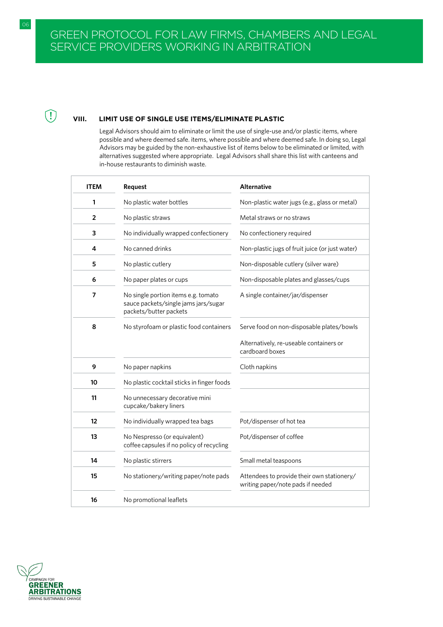# **VIII. LIMIT USE OF SINGLE USE ITEMS/ELIMINATE PLASTIC**

Legal Advisors should aim to eliminate or limit the use of single-use and/or plastic items, where possible and where deemed safe. items, where possible and where deemed safe. In doing so, Legal Advisors may be guided by the non-exhaustive list of items below to be eliminated or limited, with alternatives suggested where appropriate. Legal Advisors shall share this list with canteens and in-house restaurants to diminish waste.

| <b>ITEM</b> | <b>Request</b>                                                                                        | <b>Alternative</b>                                                              |
|-------------|-------------------------------------------------------------------------------------------------------|---------------------------------------------------------------------------------|
| 1           | No plastic water bottles                                                                              | Non-plastic water jugs (e.g., glass or metal)                                   |
| 2           | No plastic straws                                                                                     | Metal straws or no straws                                                       |
| 3           | No individually wrapped confectionery                                                                 | No confectionery required                                                       |
| 4           | No canned drinks                                                                                      | Non-plastic jugs of fruit juice (or just water)                                 |
| 5           | No plastic cutlery                                                                                    | Non-disposable cutlery (silver ware)                                            |
| 6           | No paper plates or cups                                                                               | Non-disposable plates and glasses/cups                                          |
| 7           | No single portion items e.g. tomato<br>sauce packets/single jams jars/sugar<br>packets/butter packets | A single container/jar/dispenser                                                |
| 8           | No styrofoam or plastic food containers                                                               | Serve food on non-disposable plates/bowls                                       |
|             |                                                                                                       | Alternatively, re-useable containers or<br>cardboard boxes                      |
| 9           | No paper napkins                                                                                      | Cloth napkins                                                                   |
| 10          | No plastic cocktail sticks in finger foods                                                            |                                                                                 |
| 11          | No unnecessary decorative mini<br>cupcake/bakery liners                                               |                                                                                 |
| 12          | No individually wrapped tea bags                                                                      | Pot/dispenser of hot tea                                                        |
| 13          | No Nespresso (or equivalent)<br>coffee capsules if no policy of recycling                             | Pot/dispenser of coffee                                                         |
| 14          | No plastic stirrers                                                                                   | Small metal teaspoons                                                           |
| 15          | No stationery/writing paper/note pads                                                                 | Attendees to provide their own stationery/<br>writing paper/note pads if needed |
| 16          | No promotional leaflets                                                                               |                                                                                 |



 $\bigcirc$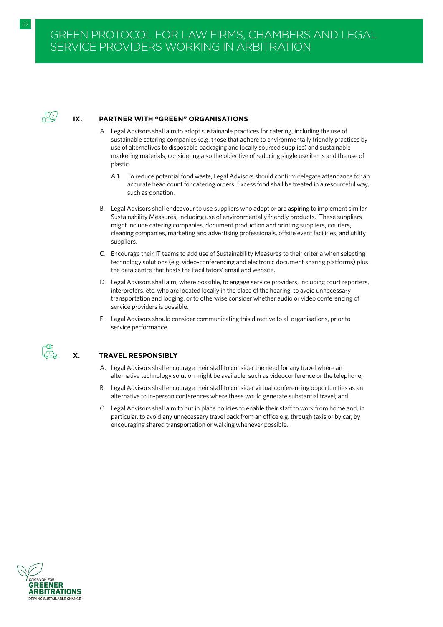

#### **IX. PARTNER WITH "GREEN" ORGANISATIONS**

- A. Legal Advisors shall aim to adopt sustainable practices for catering, including the use of sustainable catering companies (e.g. those that adhere to environmentally friendly practices by use of alternatives to disposable packaging and locally sourced supplies) and sustainable marketing materials, considering also the objective of reducing single use items and the use of plastic.
	- A.1 To reduce potential food waste, Legal Advisors should confirm delegate attendance for an accurate head count for catering orders. Excess food shall be treated in a resourceful way, such as donation.
- B. Legal Advisors shall endeavour to use suppliers who adopt or are aspiring to implement similar Sustainability Measures, including use of environmentally friendly products. These suppliers might include catering companies, document production and printing suppliers, couriers, cleaning companies, marketing and advertising professionals, offsite event facilities, and utility suppliers.
- C. Encourage their IT teams to add use of Sustainability Measures to their criteria when selecting technology solutions (e.g. video-conferencing and electronic document sharing platforms) plus the data centre that hosts the Facilitators' email and website.
- D. Legal Advisors shall aim, where possible, to engage service providers, including court reporters, interpreters, etc. who are located locally in the place of the hearing, to avoid unnecessary transportation and lodging, or to otherwise consider whether audio or video conferencing of service providers is possible.
- E. Legal Advisors should consider communicating this directive to all organisations, prior to service performance.



#### **X. TRAVEL RESPONSIBLY**

- A. Legal Advisors shall encourage their staff to consider the need for any travel where an alternative technology solution might be available, such as videoconference or the telephone;
- B. Legal Advisors shall encourage their staff to consider virtual conferencing opportunities as an alternative to in-person conferences where these would generate substantial travel; and
- C. Legal Advisors shall aim to put in place policies to enable their staff to work from home and, in particular, to avoid any unnecessary travel back from an office e.g. through taxis or by car, by encouraging shared transportation or walking whenever possible.



07 GREEN PROTOCOL FOR ARBITRATORS IN A GREEN PROTOCOL FOR ARBITRATORS IN A GREEN PROTOCOL FOR ARBITRATORS IN A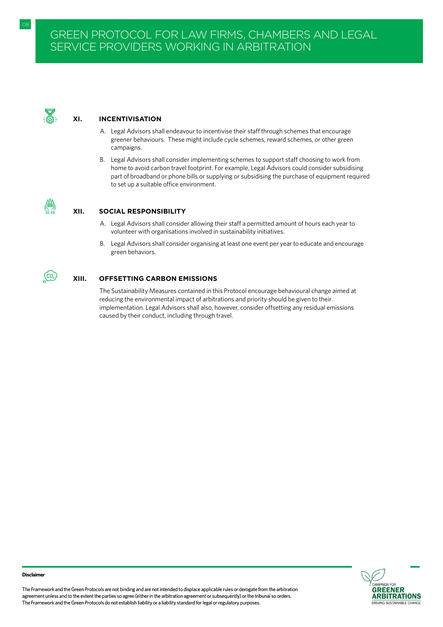

## **XI. INCENTIVISATION**

- A. Legal Advisors shall endeavour to incentivise their staff through schemes that encourage greener behaviours. These might include cycle schemes, reward schemes, or other green campaigns.
- B. Legal Advisors shall consider implementing schemes to support staff choosing to work from home to avoid carbon travel footprint. For example, Legal Advisors could consider subsidising part of broadband or phone bills or supplying or subsidising the purchase of equipment required to set up a suitable office environment.



 $\overline{\mathbb{C}}$ 

#### **XII. SOCIAL RESPONSIBILITY**

- A. Legal Advisors shall consider allowing their staff a permitted amount of hours each year to volunteer with organisations involved in sustainability initiatives.
- B. Legal Advisors shall consider organising at least one event per year to educate and encourage green behaviors.

#### **XIII. OFFSETTING CARBON EMISSIONS**

The Sustainability Measures contained in this Protocol encourage behavioural change aimed at reducing the environmental impact of arbitrations and priority should be given to their implementation. Legal Advisors shall also, however, consider offsetting any residual emissions caused by their conduct, including through travel.



08

The Framework and the Green Protocols are not binding and are not intended to displace applicable rules or derogate from the arbitration agreement unless and to the extent the parties so agree (either in the arbitration agreement or subsequently) or the tribunal so orders. The Framework and the Green Protocols do not establish liability or a liability standard for legal or regulatory purposes.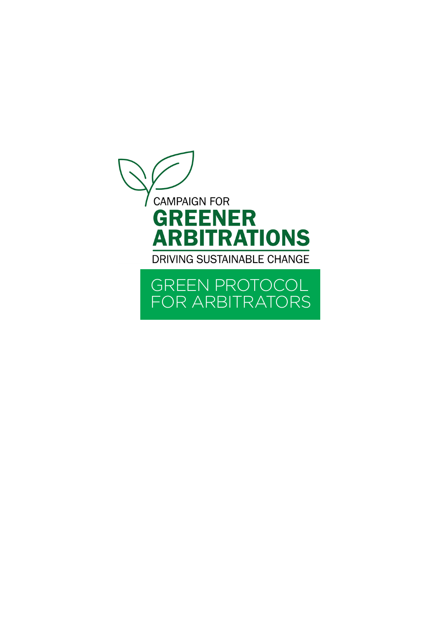<span id="page-29-0"></span>

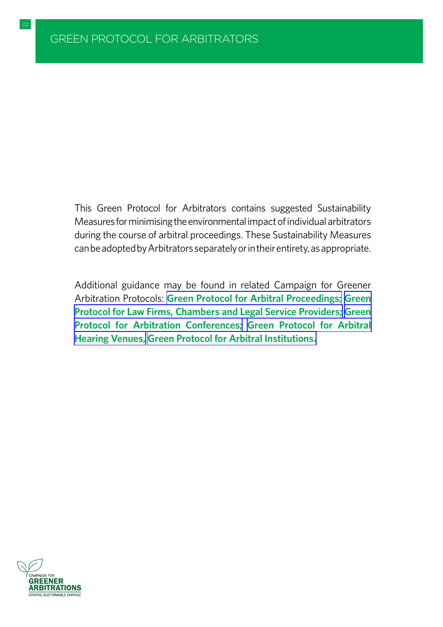This Green Protocol for Arbitrators contains suggested Sustainability Measures for minimising the environmental impact of individual arbitrators during the course of arbitral proceedings. These Sustainability Measures can be adopted by Arbitrators separately or in their entirety, as appropriate.

Additional guidance may be found in related Campaign for Greener Arbitration Protocols: **[Green Protocol for Arbitral Proceedings;](#page-8-0) [Green](#page-21-0)  [Protocol for Law Firms, Chambers and Legal Service Providers;](#page-21-0) [Green](#page-41-0)  [Protocol for Arbitration Conferences;](#page-41-0) [Green Protocol for Arbitral](#page-47-0)  [Hearing Venues,](#page-47-0) [Green Protocol for Arbitral Institutions.](#page-34-0)**

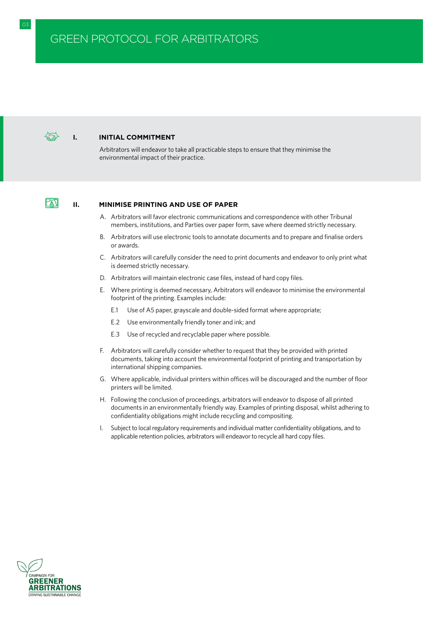### **I. INITIAL COMMITMENT**

Arbitrators will endeavor to take all practicable steps to ensure that they minimise the environmental impact of their practice.

# $\mathbb{F}$

#### **II. MINIMISE PRINTING AND USE OF PAPER**

- A. Arbitrators will favor electronic communications and correspondence with other Tribunal members, institutions, and Parties over paper form, save where deemed strictly necessary.
- B. Arbitrators will use electronic tools to annotate documents and to prepare and finalise orders or awards.
- C. Arbitrators will carefully consider the need to print documents and endeavor to only print what is deemed strictly necessary.
- D. Arbitrators will maintain electronic case files, instead of hard copy files.
- E. Where printing is deemed necessary, Arbitrators will endeavor to minimise the environmental footprint of the printing. Examples include:
	- E.1 Use of A5 paper, grayscale and double-sided format where appropriate;
	- E.2 Use environmentally friendly toner and ink; and
	- E.3 Use of recycled and recyclable paper where possible.
- F. Arbitrators will carefully consider whether to request that they be provided with printed documents, taking into account the environmental footprint of printing and transportation by international shipping companies.
- G. Where applicable, individual printers within offices will be discouraged and the number of floor printers will be limited.
- H. Following the conclusion of proceedings, arbitrators will endeavor to dispose of all printed documents in an environmentally friendly way. Examples of printing disposal, whilst adhering to confidentiality obligations might include recycling and compositing.
- I. Subject to local regulatory requirements and individual matter confidentiality obligations, and to applicable retention policies, arbitrators will endeavor to recycle all hard copy files.

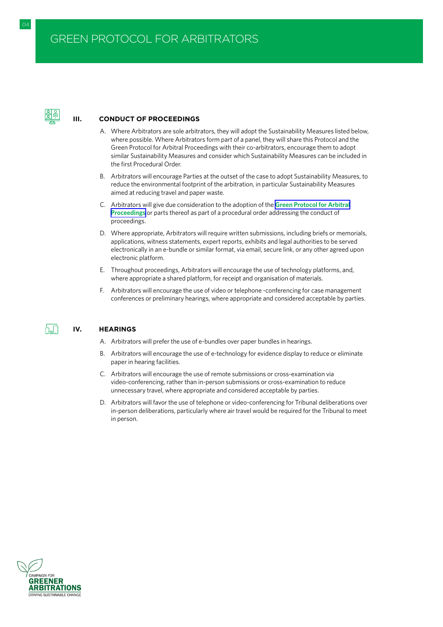

h\_N

#### **III. CONDUCT OF PROCEEDINGS**

- A. Where Arbitrators are sole arbitrators, they will adopt the Sustainability Measures listed below, where possible. Where Arbitrators form part of a panel, they will share this Protocol and the Green Protocol for Arbitral Proceedings with their co-arbitrators, encourage them to adopt similar Sustainability Measures and consider which Sustainability Measures can be included in the first Procedural Order.
- B. Arbitrators will encourage Parties at the outset of the case to adopt Sustainability Measures, to reduce the environmental footprint of the arbitration, in particular Sustainability Measures aimed at reducing travel and paper waste.
- C. Arbitrators will give due consideration to the adoption of the **[Green Protocol for Arbitral](#page-8-0) [Proceedings](#page-8-0)** or parts thereof as part of a procedural order addressing the conduct of proceedings.
- D. Where appropriate, Arbitrators will require written submissions, including briefs or memorials, applications, witness statements, expert reports, exhibits and legal authorities to be served electronically in an e-bundle or similar format, via email, secure link, or any other agreed upon electronic platform.
- E. Throughout proceedings, Arbitrators will encourage the use of technology platforms, and, where appropriate a shared platform, for receipt and organisation of materials.
- F. Arbitrators will encourage the use of video or telephone -conferencing for case management conferences or preliminary hearings, where appropriate and considered acceptable by parties.

#### **IV. HEARINGS**

A. Arbitrators will prefer the use of e-bundles over paper bundles in hearings.

- B. Arbitrators will encourage the use of e-technology for evidence display to reduce or eliminate paper in hearing facilities.
- C. Arbitrators will encourage the use of remote submissions or cross-examination via video-conferencing, rather than in-person submissions or cross-examination to reduce unnecessary travel, where appropriate and considered acceptable by parties.
- D. Arbitrators will favor the use of telephone or video-conferencing for Tribunal deliberations over in-person deliberations, particularly where air travel would be required for the Tribunal to meet in person.



04 GREEN PROTOCOL FOR ARBITRATORS IN A GREEN PROTOCOL FOR ARBITRATORS IN A GREEN PROTOCOL FOR ARBITRATORS IN A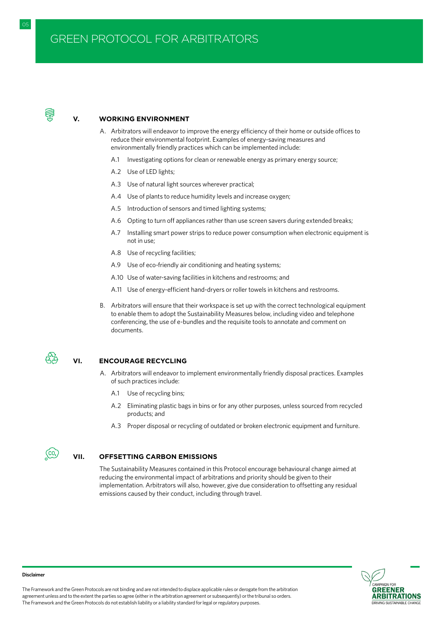

#### **V. WORKING ENVIRONMENT**

- A. Arbitrators will endeavor to improve the energy efficiency of their home or outside offices to reduce their environmental footprint. Examples of energy-saving measures and environmentally friendly practices which can be implemented include:
	- A.1 Investigating options for clean or renewable energy as primary energy source;
	- A.2 Use of LED lights;
	- A.3 Use of natural light sources wherever practical;
	- A.4 Use of plants to reduce humidity levels and increase oxygen;
	- A.5 Introduction of sensors and timed lighting systems;
	- A.6 Opting to turn off appliances rather than use screen savers during extended breaks;
	- A.7 Installing smart power strips to reduce power consumption when electronic equipment is not in use;
	- A.8 Use of recycling facilities;
	- A.9 Use of eco-friendly air conditioning and heating systems;
	- A.10 Use of water-saving facilities in kitchens and restrooms; and
	- A.11 Use of energy-efficient hand-dryers or roller towels in kitchens and restrooms.
- B. Arbitrators will ensure that their workspace is set up with the correct technological equipment to enable them to adopt the Sustainability Measures below, including video and telephone conferencing, the use of e-bundles and the requisite tools to annotate and comment on documents.



 $\overline{(\text{co}_2)}$ 

#### **VI. ENCOURAGE RECYCLING**

- A. Arbitrators will endeavor to implement environmentally friendly disposal practices. Examples of such practices include:
	- A.1 Use of recycling bins;
	- A.2 Eliminating plastic bags in bins or for any other purposes, unless sourced from recycled products; and
	- A.3 Proper disposal or recycling of outdated or broken electronic equipment and furniture.

#### **VII. OFFSETTING CARBON EMISSIONS**

The Sustainability Measures contained in this Protocol encourage behavioural change aimed at reducing the environmental impact of arbitrations and priority should be given to their implementation. Arbitrators will also, however, give due consideration to offsetting any residual emissions caused by their conduct, including through travel.



#### **Disclaimer**

The Framework and the Green Protocols are not binding and are not intended to displace applicable rules or derogate from the arbitration agreement unless and to the extent the parties so agree (either in the arbitration agreement or subsequently) or the tribunal so orders. The Framework and the Green Protocols do not establish liability or a liability standard for legal or regulatory purposes.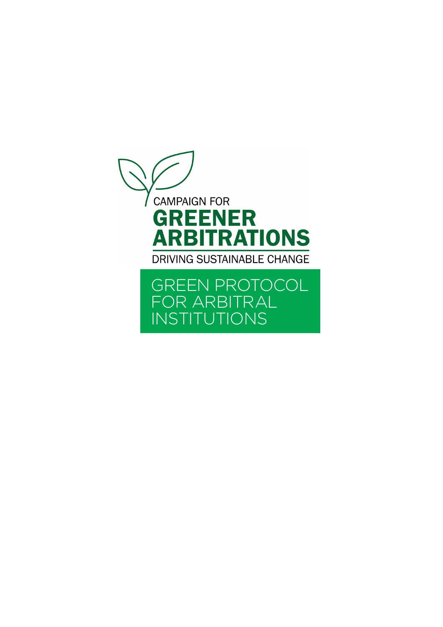<span id="page-34-0"></span>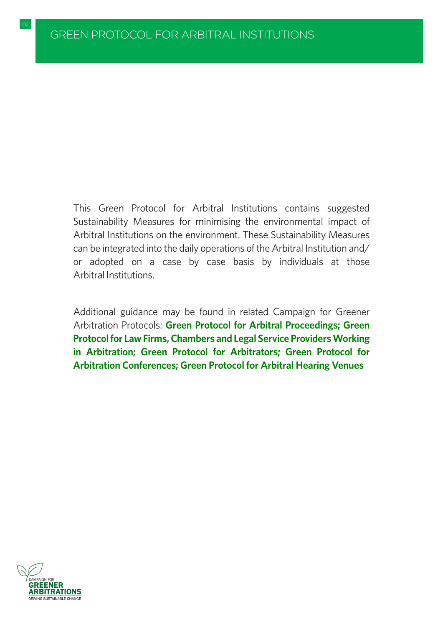02 GREEN PROTOCOL FOR ARBITRATORS IN A SERVICE STATE OF THE STATE OF THE STATE OF THE STATE OF THE STATE OF TH

This Green Protocol for Arbitral Institutions contains suggested Sustainability Measures for minimising the environmental impact of Arbitral Institutions on the environment. These Sustainability Measures can be integrated into the daily operations of the Arbitral Institution and/ or adopted on a case by case basis by individuals at those Arbitral Institutions.

Additional guidance may be found in related Campaign for Greener Arbitration Protocols: **[Green Protocol for Arbitral Proceedings;](#page-8-0) [Green](#page-21-0) [Protocol for Law Firms, Chambers and Legal Service Providers Working](#page-21-0) [in Arbitration;](#page-21-0) [Green Protocol for Arbitrators;](#page-29-0) [Green Protocol for](#page-41-0) [Arbitration Conferences;](#page-41-0) [Green Protocol for Arbitral Hearing Venues](#page-47-0)**

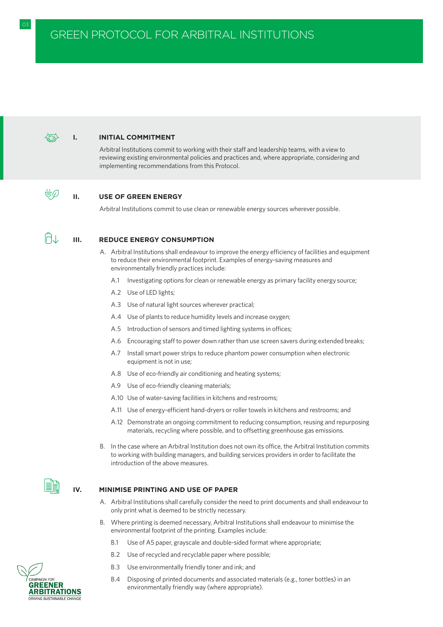#### **I. INITIAL COMMITMENT**

Arbitral Institutions commit to working with their staff and leadership teams, with a view to reviewing existing environmental policies and practices and, where appropriate, considering and implementing recommendations from this Protocol.

#### **II. USE OF GREEN ENERGY**

Arbitral Institutions commit to use clean or renewable energy sources wherever possible.

ÜØ

#### **III. REDUCE ENERGY CONSUMPTION**

- A. Arbitral Institutions shall endeavour to improve the energy efficiency of facilities and equipment to reduce their environmental footprint. Examples of energy-saving measures and environmentally friendly practices include:
	- A.1 Investigating options for clean or renewable energy as primary facility energy source;
	- A.2 Use of LED lights;
	- A.3 Use of natural light sources wherever practical;
	- A.4 Use of plants to reduce humidity levels and increase oxygen;
	- A.5 Introduction of sensors and timed lighting systems in offices;
	- A.6 Encouraging staff to power down rather than use screen savers during extended breaks;
	- A.7 Install smart power strips to reduce phantom power consumption when electronic equipment is not in use;
	- A.8 Use of eco-friendly air conditioning and heating systems;
	- A.9 Use of eco-friendly cleaning materials;
	- A.10 Use of water-saving facilities in kitchens and restrooms;
	- A.11 Use of energy-efficient hand-dryers or roller towels in kitchens and restrooms; and
	- A.12 Demonstrate an ongoing commitment to reducing consumption, reusing and repurposing materials, recycling where possible, and to offsetting greenhouse gas emissions.
- B. In the case where an Arbitral Institution does not own its office, the Arbitral Institution commits to working with building managers, and building services providers in order to facilitate the introduction of the above measures.

#### **IV. MINIMISE PRINTING AND USE OF PAPER**

- A. Arbitral Institutions shall carefully consider the need to print documents and shall endeavour to only print what is deemed to be strictly necessary.
- B. Where printing is deemed necessary, Arbitral Institutions shall endeavour to minimise the environmental footprint of the printing. Examples include:
	- B.1 Use of A5 paper, grayscale and double-sided format where appropriate;
	- B.2 Use of recycled and recyclable paper where possible;
	- B.3 Use environmentally friendly toner and ink; and
	- B.4 Disposing of printed documents and associated materials (e.g., toner bottles) in an environmentally friendly way (where appropriate).

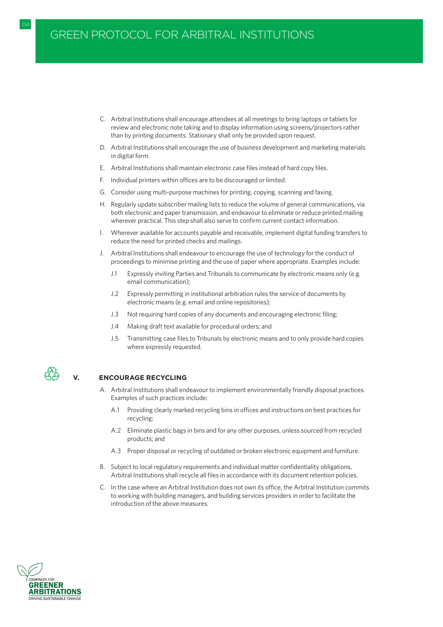- C. Arbitral Institutions shall encourage attendees at all meetings to bring laptops or tablets for review and electronic note taking and to display information using screens/projectors rather than by printing documents. Stationary shall only be provided upon request.
- D. Arbitral Institutions shall encourage the use of business development and marketing materials in digital form.
- E. Arbitral Institutions shall maintain electronic case files instead of hard copy files.
- F. Individual printers within offices are to be discouraged or limited.
- G. Consider using multi-purpose machines for printing, copying, scanning and faxing.
- H. Regularly update subscriber mailing lists to reduce the volume of general communications, via both electronic and paper transmission, and endeavour to eliminate or reduce printed mailing wherever practical. This step shall also serve to confirm current contact information.
- I. Wherever available for accounts payable and receivable, implement digital funding transfers to reduce the need for printed checks and mailings.
- J. Arbitral Institutions shall endeavour to encourage the use of technology for the conduct of proceedings to minimise printing and the use of paper where appropriate. Examples include:
	- J.1 Expressly inviting Parties and Tribunals to communicate by electronic means only (e.g. email communication);
	- J.2 Expressly permitting in institutional arbitration rules the service of documents by electronic means (e.g. email and online repositories);
	- J.3 Not requiring hard copies of any documents and encouraging electronic filing;
	- J.4 Making draft text available for procedural orders; and
	- J.5 Transmitting case files to Tribunals by electronic means and to only provide hard copies where expressly requested.



### **V. ENCOURAGE RECYCLING**

- A. Arbitral Institutions shall endeavour to implement environmentally friendly disposal practices. Examples of such practices include:
	- A.1 Providing clearly marked recycling bins in offices and instructions on best practices for recycling;
	- A.2 Eliminate plastic bags in bins and for any other purposes, unless sourced from recycled products; and
	- A.3 Proper disposal or recycling of outdated or broken electronic equipment and furniture.
- B. Subject to local regulatory requirements and individual matter confidentiality obligations, Arbitral Institutions shall recycle all files in accordance with its document retention policies.
- C. In the case where an Arbitral Institution does not own its office, the Arbitral Institution commits to working with building managers, and building services providers in order to facilitate the introduction of the above measures.

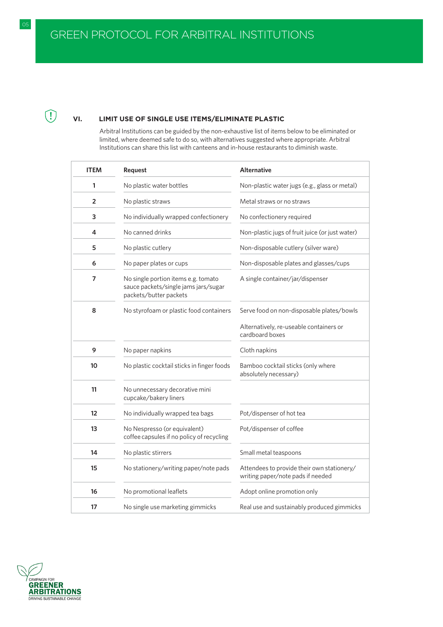# **VI. LIMIT USE OF SINGLE USE ITEMS/ELIMINATE PLASTIC**

Arbitral Institutions can be guided by the non-exhaustive list of items below to be eliminated or limited, where deemed safe to do so, with alternatives suggested where appropriate. Arbitral Institutions can share this list with canteens and in-house restaurants to diminish waste.

| <b>ITEM</b>    | Request                                                                                               | <b>Alternative</b>                                                              |
|----------------|-------------------------------------------------------------------------------------------------------|---------------------------------------------------------------------------------|
| 1              | No plastic water bottles                                                                              | Non-plastic water jugs (e.g., glass or metal)                                   |
| $\overline{2}$ | No plastic straws                                                                                     | Metal straws or no straws                                                       |
| 3              | No individually wrapped confectionery                                                                 | No confectionery required                                                       |
| 4              | No canned drinks                                                                                      | Non-plastic jugs of fruit juice (or just water)                                 |
| 5              | No plastic cutlery                                                                                    | Non-disposable cutlery (silver ware)                                            |
| 6              | No paper plates or cups                                                                               | Non-disposable plates and glasses/cups                                          |
| 7              | No single portion items e.g. tomato<br>sauce packets/single jams jars/sugar<br>packets/butter packets | A single container/jar/dispenser                                                |
| 8              | No styrofoam or plastic food containers                                                               | Serve food on non-disposable plates/bowls                                       |
|                |                                                                                                       | Alternatively, re-useable containers or<br>cardboard boxes                      |
| 9              | No paper napkins                                                                                      | Cloth napkins                                                                   |
| 10             | No plastic cocktail sticks in finger foods                                                            | Bamboo cocktail sticks (only where<br>absolutely necessary)                     |
| 11             | No unnecessary decorative mini<br>cupcake/bakery liners                                               |                                                                                 |
| 12             | No individually wrapped tea bags                                                                      | Pot/dispenser of hot tea                                                        |
| 13             | No Nespresso (or equivalent)<br>coffee capsules if no policy of recycling                             | Pot/dispenser of coffee                                                         |
| 14             | No plastic stirrers                                                                                   | Small metal teaspoons                                                           |
| 15             | No stationery/writing paper/note pads                                                                 | Attendees to provide their own stationery/<br>writing paper/note pads if needed |
| 16             | No promotional leaflets                                                                               | Adopt online promotion only                                                     |
| 17             | No single use marketing gimmicks                                                                      | Real use and sustainably produced gimmicks                                      |



 $\bigcirc$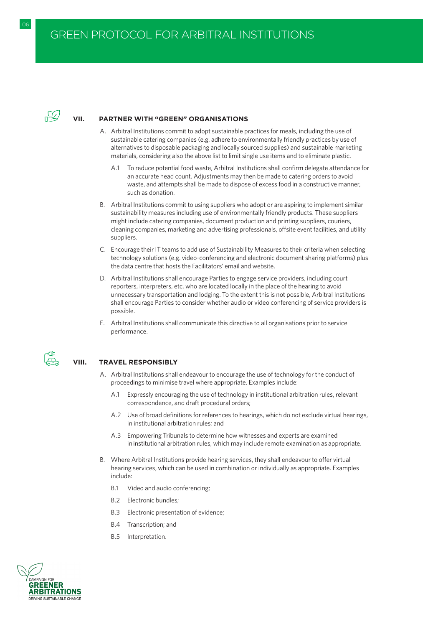

# **VII. PARTNER WITH "GREEN" ORGANISATIONS**

- A. Arbitral Institutions commit to adopt sustainable practices for meals, including the use of sustainable catering companies (e.g. adhere to environmentally friendly practices by use of alternatives to disposable packaging and locally sourced supplies) and sustainable marketing materials, considering also the above list to limit single use items and to eliminate plastic.
	- A.1 To reduce potential food waste, Arbitral Institutions shall confirm delegate attendance for an accurate head count. Adjustments may then be made to catering orders to avoid waste, and attempts shall be made to dispose of excess food in a constructive manner, such as donation.
- B. Arbitral Institutions commit to using suppliers who adopt or are aspiring to implement similar sustainability measures including use of environmentally friendly products. These suppliers might include catering companies, document production and printing suppliers, couriers, cleaning companies, marketing and advertising professionals, offsite event facilities, and utility suppliers.
- C. Encourage their IT teams to add use of Sustainability Measures to their criteria when selecting technology solutions (e.g. video-conferencing and electronic document sharing platforms) plus the data centre that hosts the Facilitators' email and website.
- D. Arbitral Institutions shall encourage Parties to engage service providers, including court reporters, interpreters, etc. who are located locally in the place of the hearing to avoid unnecessary transportation and lodging. To the extent this is not possible, Arbitral Institutions shall encourage Parties to consider whether audio or video conferencing of service providers is possible.
- E. Arbitral Institutions shall communicate this directive to all organisations prior to service performance.



# **VIII. TRAVEL RESPONSIBLY**

- A. Arbitral Institutions shall endeavour to encourage the use of technology for the conduct of proceedings to minimise travel where appropriate. Examples include:
	- A.1 Expressly encouraging the use of technology in institutional arbitration rules, relevant correspondence, and draft procedural orders;
	- A.2 Use of broad definitions for references to hearings, which do not exclude virtual hearings, in institutional arbitration rules; and
	- A.3 Empowering Tribunals to determine how witnesses and experts are examined in institutional arbitration rules, which may include remote examination as appropriate.
- B. Where Arbitral Institutions provide hearing services, they shall endeavour to offer virtual hearing services, which can be used in combination or individually as appropriate. Examples include:
	- B.1 Video and audio conferencing;
	- B.2 Electronic bundles;
	- B.3 Electronic presentation of evidence;
	- B.4 Transcription; and
	- B.5 Interpretation.

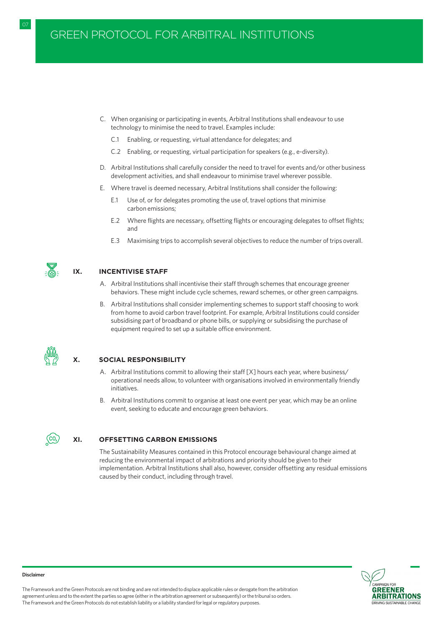- C. When organising or participating in events, Arbitral Institutions shall endeavour to use technology to minimise the need to travel. Examples include:
	- C.1 Enabling, or requesting, virtual attendance for delegates; and
	- C.2 Enabling, or requesting, virtual participation for speakers (e.g., e-diversity).
- D. Arbitral Institutions shall carefully consider the need to travel for events and/or other business development activities, and shall endeavour to minimise travel wherever possible.
- E. Where travel is deemed necessary, Arbitral Institutions shall consider the following:
	- E.1 Use of, or for delegates promoting the use of, travel options that minimise carbon emissions;
	- E.2 Where flights are necessary, offsetting flights or encouraging delegates to offset flights; and
	- E.3 Maximising trips to accomplish several objectives to reduce the number of trips overall.



#### **IX. INCENTIVISE STAFF**

- A. Arbitral Institutions shall incentivise their staff through schemes that encourage greener behaviors. These might include cycle schemes, reward schemes, or other green campaigns.
- B. Arbitral Institutions shall consider implementing schemes to support staff choosing to work from home to avoid carbon travel footprint. For example, Arbitral Institutions could consider subsidising part of broadband or phone bills, or supplying or subsidising the purchase of equipment required to set up a suitable office environment.

#### **X. SOCIAL RESPONSIBILITY**

- A. Arbitral Institutions commit to allowing their staff [X] hours each year, where business/ operational needs allow, to volunteer with organisations involved in environmentally friendly initiatives.
- B. Arbitral Institutions commit to organise at least one event per year, which may be an online event, seeking to educate and encourage green behaviors.



#### **XI. OFFSETTING CARBON EMISSIONS**

The Sustainability Measures contained in this Protocol encourage behavioural change aimed at reducing the environmental impact of arbitrations and priority should be given to their implementation. Arbitral Institutions shall also, however, consider offsetting any residual emissions caused by their conduct, including through travel.



#### **Disclaimer**

The Framework and the Green Protocols are not binding and are not intended to displace applicable rules or derogate from the arbitration agreement unless and to the extent the parties so agree (either in the arbitration agreement or subsequently) or the tribunal so orders. The Framework and the Green Protocols do not establish liability or a liability standard for legal or regulatory purposes.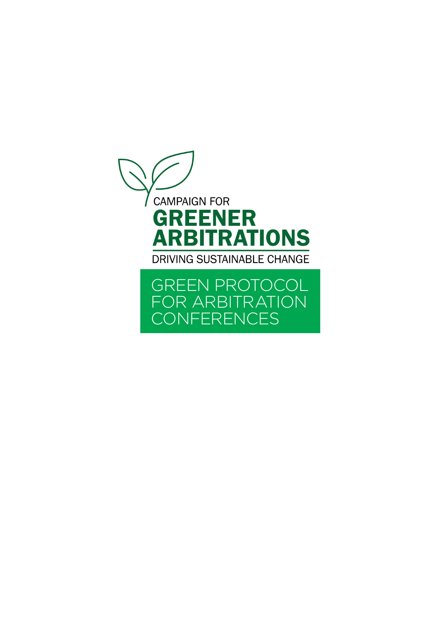<span id="page-41-0"></span>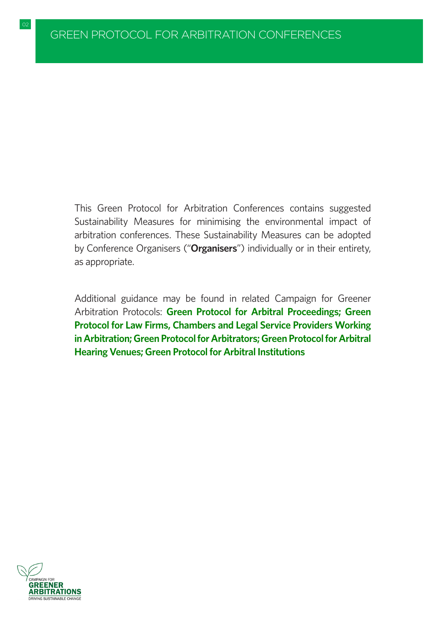This Green Protocol for Arbitration Conferences contains suggested Sustainability Measures for minimising the environmental impact of arbitration conferences. These Sustainability Measures can be adopted by Conference Organisers ("**Organisers**") individually or in their entirety, as appropriate.

Additional guidance may be found in related Campaign for Greener Arbitration Protocols: **[Green Protocol for Arbitral Proceedings;](#page-8-0) [Green](#page-21-0) [Protocol for Law Firms, Chambers and Legal Service Providers Working](#page-21-0) [in Arbitration;](#page-21-0)[Green Protocol for Arbitrators;](#page-29-0)[Green Protocol for Arbitral](#page-47-0) [Hearing Venues;](#page-47-0)[Green Protocol for Arbitral Institutions](#page-34-0)**

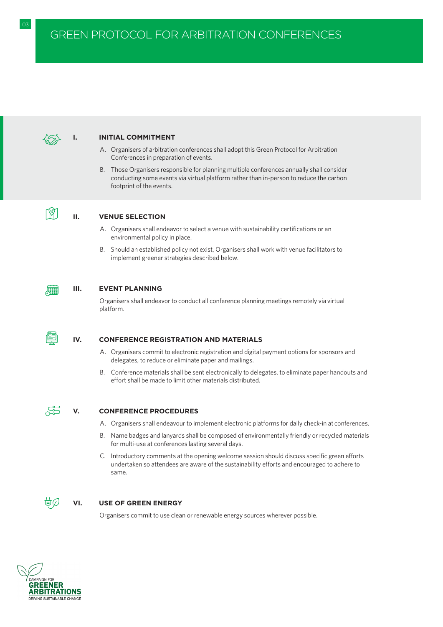

### **I. INITIAL COMMITMENT**

- A. Organisers of arbitration conferences shall adopt this Green Protocol for Arbitration Conferences in preparation of events.
- B. Those Organisers responsible for planning multiple conferences annually shall consider conducting some events via virtual platform rather than in-person to reduce the carbon footprint of the events.



# **II. VENUE SELECTION**

- A. Organisers shall endeavor to select a venue with sustainability certifications or an environmental policy in place.
- B. Should an established policy not exist, Organisers shall work with venue facilitators to implement greener strategies described below.



#### **III. EVENT PLANNING**

Organisers shall endeavor to conduct all conference planning meetings remotely via virtual platform.



# **IV. CONFERENCE REGISTRATION AND MATERIALS**

- A. Organisers commit to electronic registration and digital payment options for sponsors and delegates, to reduce or eliminate paper and mailings.
- B. Conference materials shall be sent electronically to delegates, to eliminate paper handouts and effort shall be made to limit other materials distributed.



#### **V. CONFERENCE PROCEDURES**

- A. Organisers shall endeavour to implement electronic platforms for daily check-in at conferences.
- B. Name badges and lanyards shall be composed of environmentally friendly or recycled materials for multi-use at conferences lasting several days.
- C. Introductory comments at the opening welcome session should discuss specific green efforts undertaken so attendees are aware of the sustainability efforts and encouraged to adhere to same.



#### **VI. USE OF GREEN ENERGY**

Organisers commit to use clean or renewable energy sources wherever possible.

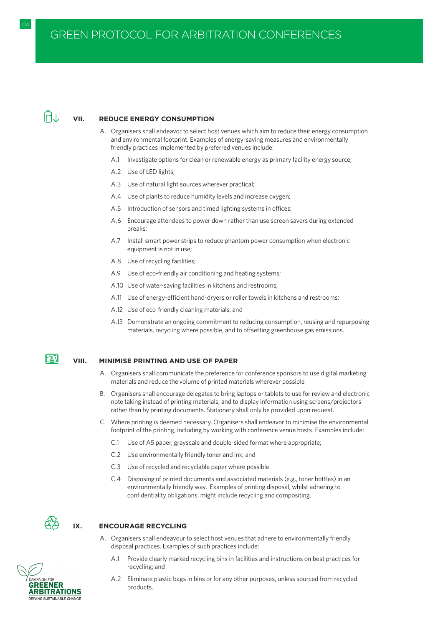#### **VII. REDUCE ENERGY CONSUMPTION**

- A. Organisers shall endeavor to select host venues which aim to reduce their energy consumption and environmental footprint. Examples of energy-saving measures and environmentally friendly practices implemented by preferred venues include:
	- A.1 Investigate options for clean or renewable energy as primary facility energy source;
	- A.2 Use of LED lights;
	- A.3 Use of natural light sources wherever practical;
	- A.4 Use of plants to reduce humidity levels and increase oxygen;
	- A.5 Introduction of sensors and timed lighting systems in offices;
	- A.6 Encourage attendees to power down rather than use screen savers during extended breaks;
	- A.7 Install smart power strips to reduce phantom power consumption when electronic equipment is not in use:
	- A.8 Use of recycling facilities;
	- A.9 Use of eco-friendly air conditioning and heating systems;
	- A.10 Use of water-saving facilities in kitchens and restrooms;
	- A.11 Use of energy-efficient hand-dryers or roller towels in kitchens and restrooms;
	- A.12 Use of eco-friendly cleaning materials; and
	- A.13 Demonstrate an ongoing commitment to reducing consumption, reusing and repurposing materials, recycling where possible, and to offsetting greenhouse gas emissions.



#### **VIII. MINIMISE PRINTING AND USE OF PAPER**

- A. Organisers shall communicate the preference for conference sponsors to use digital marketing materials and reduce the volume of printed materials wherever possible
- B. Organisers shall encourage delegates to bring laptops or tablets to use for review and electronic note taking instead of printing materials, and to display information using screens/projectors rather than by printing documents. Stationery shall only be provided upon request.
- C. Where printing is deemed necessary, Organisers shall endeavor to minimise the environmental footprint of the printing, including by working with conference venue hosts. Examples include:
	- C.1 Use of A5 paper, grayscale and double-sided format where appropriate;
	- C.2 Use environmentally friendly toner and ink; and
	- C.3 Use of recycled and recyclable paper where possible.
	- C.4 Disposing of printed documents and associated materials (e.g., toner bottles) in an environmentally friendly way. Examples of printing disposal, whilst adhering to confidentiality obligations, might include recycling and compositing.



#### **IX. ENCOURAGE RECYCLING**

- A. Organisers shall endeavour to select host venues that adhere to environmentally friendly disposal practices. Examples of such practices include:
	- A.1 Provide clearly marked recycling bins in facilities and instructions on best practices for recycling; and
	- A.2 Eliminate plastic bags in bins or for any other purposes, unless sourced from recycled products.

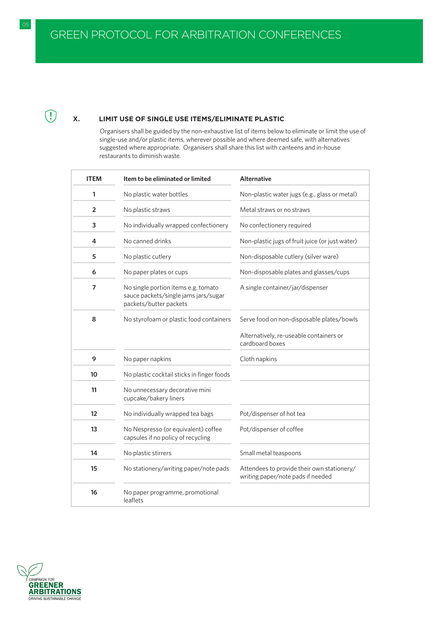05 GREEN PROTOCOL FOR ARBITRATORS IN A GREEN PROTOCOL FOR ARBITRATORS IN A GREEN PROTOCOL FOR ARBITRATORS IN A

# **X. LIMIT USE OF SINGLE USE ITEMS/ELIMINATE PLASTIC**

Organisers shall be guided by the non-exhaustive list of items below to eliminate or limit the use of single-use and/or plastic items, wherever possible and where deemed safe, with alternatives suggested where appropriate. Organisers shall share this list with canteens and in-house restaurants to diminish waste.

| <b>ITEM</b> | Item to be eliminated or limited                                                                      | <b>Alternative</b>                                                              |
|-------------|-------------------------------------------------------------------------------------------------------|---------------------------------------------------------------------------------|
| 1           | No plastic water bottles                                                                              | Non-plastic water jugs (e.g., glass or metal)                                   |
| 2           | No plastic straws                                                                                     | Metal straws or no straws                                                       |
| 3           | No individually wrapped confectionery                                                                 | No confectionery required                                                       |
| 4           | No canned drinks                                                                                      | Non-plastic jugs of fruit juice (or just water)                                 |
| 5           | No plastic cutlery                                                                                    | Non-disposable cutlery (silver ware)                                            |
| 6           | No paper plates or cups                                                                               | Non-disposable plates and glasses/cups                                          |
| 7           | No single portion items e.g. tomato<br>sauce packets/single jams jars/sugar<br>packets/butter packets | A single container/jar/dispenser                                                |
| 8           | No styrofoam or plastic food containers                                                               | Serve food on non-disposable plates/bowls                                       |
|             |                                                                                                       | Alternatively, re-useable containers or<br>cardboard boxes                      |
| 9           | No paper napkins                                                                                      | Cloth napkins                                                                   |
| 10          | No plastic cocktail sticks in finger foods                                                            |                                                                                 |
| 11          | No unnecessary decorative mini<br>cupcake/bakery liners                                               |                                                                                 |
| 12          | No individually wrapped tea bags                                                                      | Pot/dispenser of hot tea                                                        |
| 13          | No Nespresso (or equivalent) coffee<br>capsules if no policy of recycling                             | Pot/dispenser of coffee                                                         |
| 14          | No plastic stirrers                                                                                   | Small metal teaspoons                                                           |
| 15          | No stationery/writing paper/note pads                                                                 | Attendees to provide their own stationery/<br>writing paper/note pads if needed |
| 16          | No paper programme, promotional<br>leaflets                                                           |                                                                                 |



 $\bigcirc$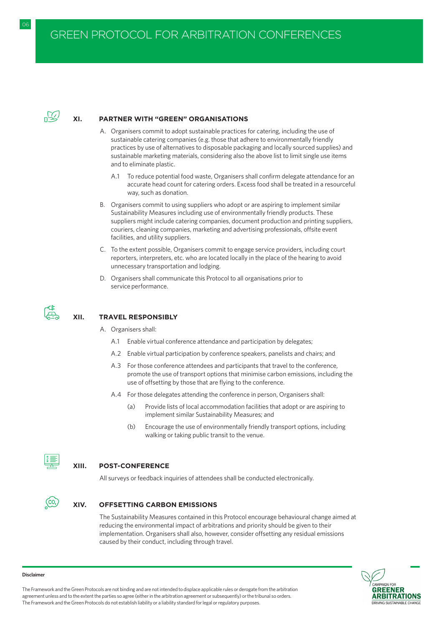

#### **XI. PARTNER WITH "GREEN" ORGANISATIONS**

- A. Organisers commit to adopt sustainable practices for catering, including the use of sustainable catering companies (e.g. those that adhere to environmentally friendly practices by use of alternatives to disposable packaging and locally sourced supplies) and sustainable marketing materials, considering also the above list to limit single use items and to eliminate plastic.
	- A.1 To reduce potential food waste, Organisers shall confirm delegate attendance for an accurate head count for catering orders. Excess food shall be treated in a resourceful way, such as donation.
- B. Organisers commit to using suppliers who adopt or are aspiring to implement similar Sustainability Measures including use of environmentally friendly products. These suppliers might include catering companies, document production and printing suppliers, couriers, cleaning companies, marketing and advertising professionals, offsite event facilities, and utility suppliers.
- C. To the extent possible, Organisers commit to engage service providers, including court reporters, interpreters, etc. who are located locally in the place of the hearing to avoid unnecessary transportation and lodging.
- D. Organisers shall communicate this Protocol to all organisations prior to service performance.



# **XII. TRAVEL RESPONSIBLY**

- A. Organisers shall:
	- A.1 Enable virtual conference attendance and participation by delegates;
	- A.2 Enable virtual participation by conference speakers, panelists and chairs; and
	- A.3 For those conference attendees and participants that travel to the conference, promote the use of transport options that minimise carbon emissions, including the use of offsetting by those that are flying to the conference.
	- A.4 For those delegates attending the conference in person, Organisers shall:
		- (a) Provide lists of local accommodation facilities that adopt or are aspiring to implement similar Sustainability Measures; and
		- (b) Encourage the use of environmentally friendly transport options, including walking or taking public transit to the venue.



### **XIII. POST-CONFERENCE**

All surveys or feedback inquiries of attendees shall be conducted electronically.



# **XIV. OFFSETTING CARBON EMISSIONS**

The Sustainability Measures contained in this Protocol encourage behavioural change aimed at reducing the environmental impact of arbitrations and priority should be given to their implementation. Organisers shall also, however, consider offsetting any residual emissions caused by their conduct, including through travel.



#### **Disclaimer**

The Framework and the Green Protocols are not binding and are not intended to displace applicable rules or derogate from the arbitration agreement unless and to the extent the parties so agree (either in the arbitration agreement or subsequently) or the tribunal so orders. The Framework and the Green Protocols do not establish liability or a liability standard for legal or regulatory purposes.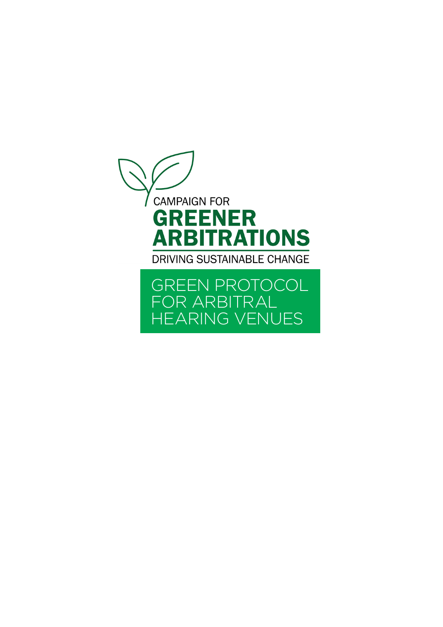<span id="page-47-0"></span>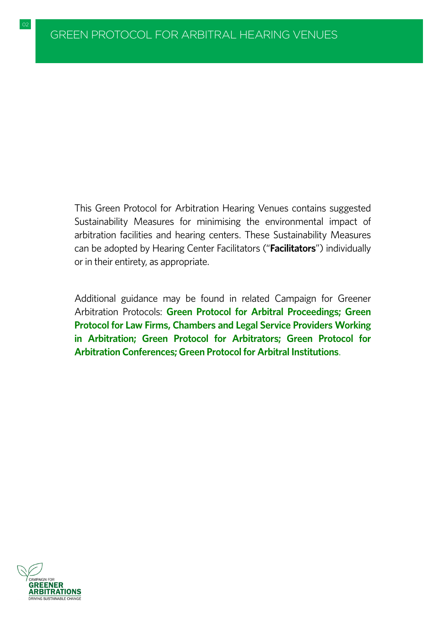02 GREEN PROTOCOL FOR ARBITRATORS IN A GREEN PROTOCOL FOR ARBITRATORS IN A GREEN PROTOCOL FOR ARBITRATORS IN A

This Green Protocol for Arbitration Hearing Venues contains suggested Sustainability Measures for minimising the environmental impact of arbitration facilities and hearing centers. These Sustainability Measures can be adopted by Hearing Center Facilitators ("**Facilitators**") individually or in their entirety, as appropriate.

Additional guidance may be found in related Campaign for Greener Arbitration Protocols: **[Green Protocol for Arbitral Proceedings;](#page-8-0) [Green](#page-21-0) [Protocol for Law Firms, Chambers and Legal Service Providers Working](#page-21-0) [in Arbitration;](#page-21-0) [Green Protocol for Arbitrators;](#page-29-0) [Green Protocol for](#page-41-0) [Arbitration Conferences;](#page-41-0)[Green Protocol for Arbitral Institutions](#page-34-0)**.

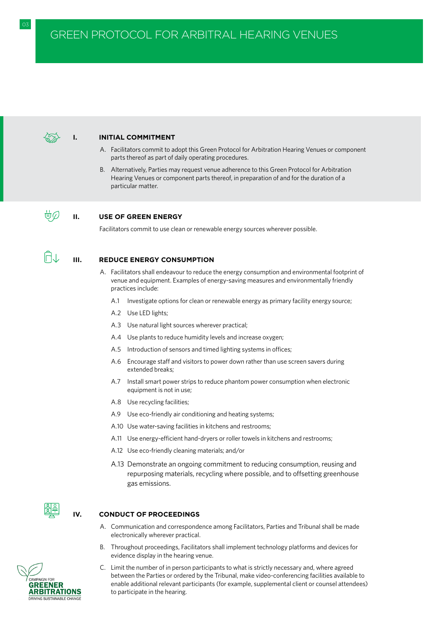

#### **I. INITIAL COMMITMENT**

- A. Facilitators commit to adopt this Green Protocol for Arbitration Hearing Venues or component parts thereof as part of daily operating procedures.
- B. Alternatively, Parties may request venue adherence to this Green Protocol for Arbitration Hearing Venues or component parts thereof, in preparation of and for the duration of a particular matter.

#### **II. USE OF GREEN ENERGY**

Facilitators commit to use clean or renewable energy sources wherever possible.

首の

# **III. REDUCE ENERGY CONSUMPTION**

- A. Facilitators shall endeavour to reduce the energy consumption and environmental footprint of venue and equipment. Examples of energy-saving measures and environmentally friendly practices include:
	- A.1 Investigate options for clean or renewable energy as primary facility energy source;
	- A.2 Use LED lights;
	- A.3 Use natural light sources wherever practical;
	- A.4 Use plants to reduce humidity levels and increase oxygen;
	- A.5 Introduction of sensors and timed lighting systems in offices;
	- A.6 Encourage staff and visitors to power down rather than use screen savers during extended breaks;
	- A.7 Install smart power strips to reduce phantom power consumption when electronic equipment is not in use;
	- A.8 Use recycling facilities;
	- A.9 Use eco-friendly air conditioning and heating systems;
	- A.10 Use water-saving facilities in kitchens and restrooms;
	- A.11 Use energy-efficient hand-dryers or roller towels in kitchens and restrooms;
	- A.12 Use eco-friendly cleaning materials; and/or
	- A.13 Demonstrate an ongoing commitment to reducing consumption, reusing and repurposing materials, recycling where possible, and to offsetting greenhouse gas emissions.



#### **IV. CONDUCT OF PROCEEDINGS**

- A. Communication and correspondence among Facilitators, Parties and Tribunal shall be made electronically wherever practical.
- B. Throughout proceedings, Facilitators shall implement technology platforms and devices for evidence display in the hearing venue.
- C. Limit the number of in person participants to what is strictly necessary and, where agreed between the Parties or ordered by the Tribunal, make video-conferencing facilities available to enable additional relevant participants (for example, supplemental client or counsel attendees) to participate in the hearing.

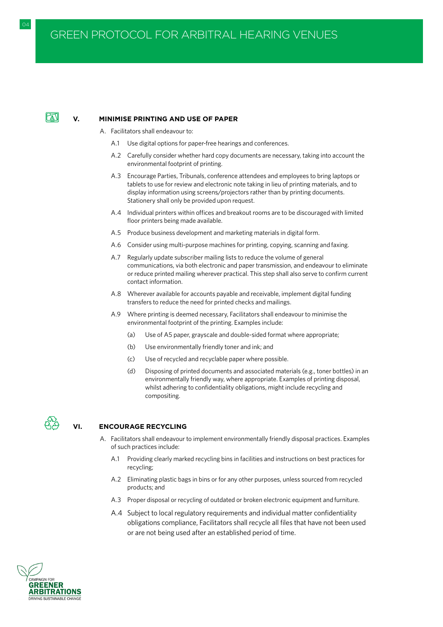# FAT

#### **V. MINIMISE PRINTING AND USE OF PAPER**

- A. Facilitators shall endeavour to:
	- A.1 Use digital options for paper-free hearings and conferences.
	- A.2 Carefully consider whether hard copy documents are necessary, taking into account the environmental footprint of printing.
	- A.3 Encourage Parties, Tribunals, conference attendees and employees to bring laptops or tablets to use for review and electronic note taking in lieu of printing materials, and to display information using screens/projectors rather than by printing documents. Stationery shall only be provided upon request.
	- A.4 Individual printers within offices and breakout rooms are to be discouraged with limited floor printers being made available.
	- A.5 Produce business development and marketing materials in digital form.
	- A.6 Consider using multi-purpose machines for printing, copying, scanning and faxing.
	- A.7 Regularly update subscriber mailing lists to reduce the volume of general communications, via both electronic and paper transmission, and endeavour to eliminate or reduce printed mailing wherever practical. This step shall also serve to confirm current contact information.
	- A.8 Wherever available for accounts payable and receivable, implement digital funding transfers to reduce the need for printed checks and mailings.
	- A.9 Where printing is deemed necessary, Facilitators shall endeavour to minimise the environmental footprint of the printing. Examples include:
		- (a) Use of A5 paper, grayscale and double-sided format where appropriate;
		- (b) Use environmentally friendly toner and ink; and
		- (c) Use of recycled and recyclable paper where possible.
		- (d) Disposing of printed documents and associated materials (e.g., toner bottles) in an environmentally friendly way, where appropriate. Examples of printing disposal, whilst adhering to confidentiality obligations, might include recycling and compositing.



# **VI. ENCOURAGE RECYCLING**

- A. Facilitators shall endeavour to implement environmentally friendly disposal practices. Examples of such practices include:
	- A.1 Providing clearly marked recycling bins in facilities and instructions on best practices for recycling;
	- A.2 Eliminating plastic bags in bins or for any other purposes, unless sourced from recycled products; and
	- A.3 Proper disposal or recycling of outdated or broken electronic equipment and furniture.
	- A.4 Subject to local regulatory requirements and individual matter confidentiality obligations compliance, Facilitators shall recycle all files that have not been used or are not being used after an established period of time.

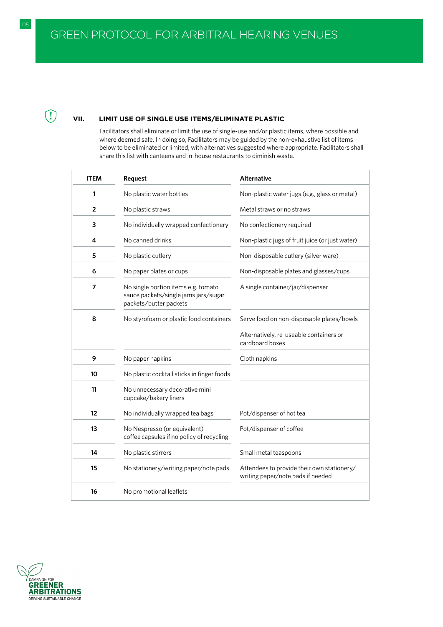05 GREEN PROTOCOL FOR ARBITRATORS IN A GREEN PROTOCOL FOR ARBITRATORS IN A GREEN PROTOCOL FOR ARBITRATORS IN A

# **VII. LIMIT USE OF SINGLE USE ITEMS/ELIMINATE PLASTIC**

Facilitators shall eliminate or limit the use of single-use and/or plastic items, where possible and where deemed safe. In doing so, Facilitators may be guided by the non-exhaustive list of items below to be eliminated or limited, with alternatives suggested where appropriate. Facilitators shall share this list with canteens and in-house restaurants to diminish waste.

| <b>ITEM</b>    | Request                                                                                               | <b>Alternative</b>                                                              |
|----------------|-------------------------------------------------------------------------------------------------------|---------------------------------------------------------------------------------|
| 1              | No plastic water bottles                                                                              | Non-plastic water jugs (e.g., glass or metal)                                   |
| $\overline{2}$ | No plastic straws                                                                                     | Metal straws or no straws                                                       |
| 3              | No individually wrapped confectionery                                                                 | No confectionery required                                                       |
| 4              | No canned drinks                                                                                      | Non-plastic jugs of fruit juice (or just water)                                 |
| 5              | No plastic cutlery                                                                                    | Non-disposable cutlery (silver ware)                                            |
| 6              | No paper plates or cups                                                                               | Non-disposable plates and glasses/cups                                          |
| 7              | No single portion items e.g. tomato<br>sauce packets/single jams jars/sugar<br>packets/butter packets | A single container/jar/dispenser                                                |
| 8              | No styrofoam or plastic food containers                                                               | Serve food on non-disposable plates/bowls                                       |
|                |                                                                                                       | Alternatively, re-useable containers or<br>cardboard boxes                      |
| 9              | No paper napkins                                                                                      | Cloth napkins                                                                   |
| 10             | No plastic cocktail sticks in finger foods                                                            |                                                                                 |
| 11             | No unnecessary decorative mini<br>cupcake/bakery liners                                               |                                                                                 |
| 12             | No individually wrapped tea bags                                                                      | Pot/dispenser of hot tea                                                        |
| 13             | No Nespresso (or equivalent)<br>coffee capsules if no policy of recycling                             | Pot/dispenser of coffee                                                         |
| 14             | No plastic stirrers                                                                                   | Small metal teaspoons                                                           |
| 15             | No stationery/writing paper/note pads                                                                 | Attendees to provide their own stationery/<br>writing paper/note pads if needed |
| 16             | No promotional leaflets                                                                               |                                                                                 |



 $\bigcirc$